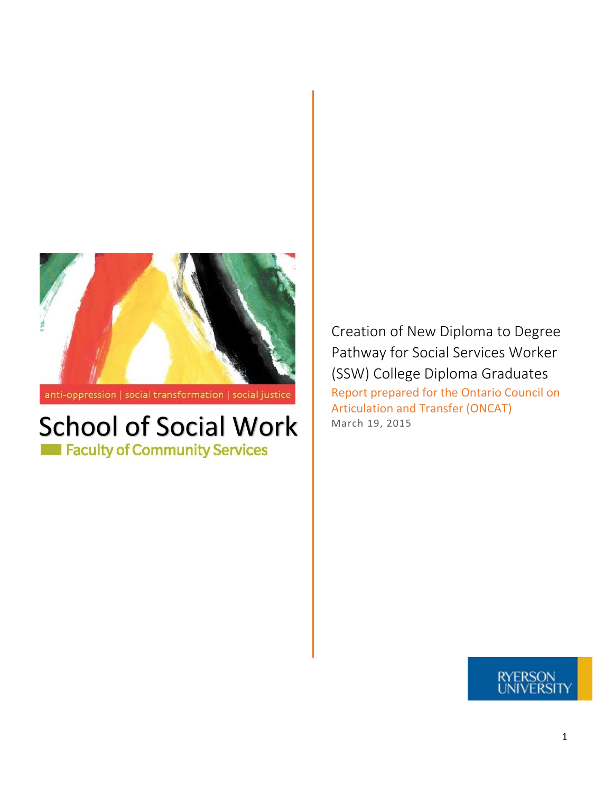

anti-oppression | social transformation | social justice

# School of Social Work

Creation of New Diploma to Degree Pathway for Social Services Worker (SSW) College Diploma Graduates Report prepared for the Ontario Council on Articulation and Transfer (ONCAT)<br>March 19, 2015

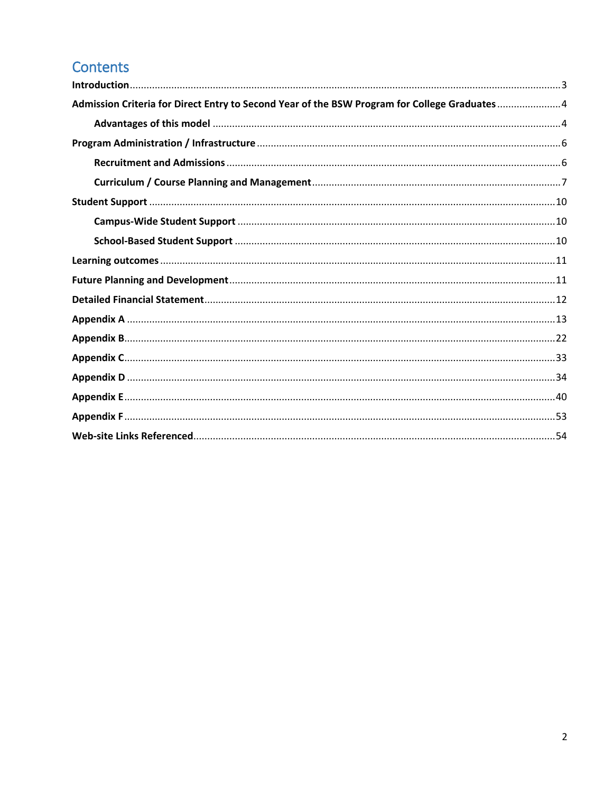# Contents

| Admission Criteria for Direct Entry to Second Year of the BSW Program for College Graduates4 |  |
|----------------------------------------------------------------------------------------------|--|
|                                                                                              |  |
|                                                                                              |  |
|                                                                                              |  |
|                                                                                              |  |
|                                                                                              |  |
|                                                                                              |  |
|                                                                                              |  |
|                                                                                              |  |
|                                                                                              |  |
|                                                                                              |  |
|                                                                                              |  |
|                                                                                              |  |
|                                                                                              |  |
|                                                                                              |  |
|                                                                                              |  |
|                                                                                              |  |
|                                                                                              |  |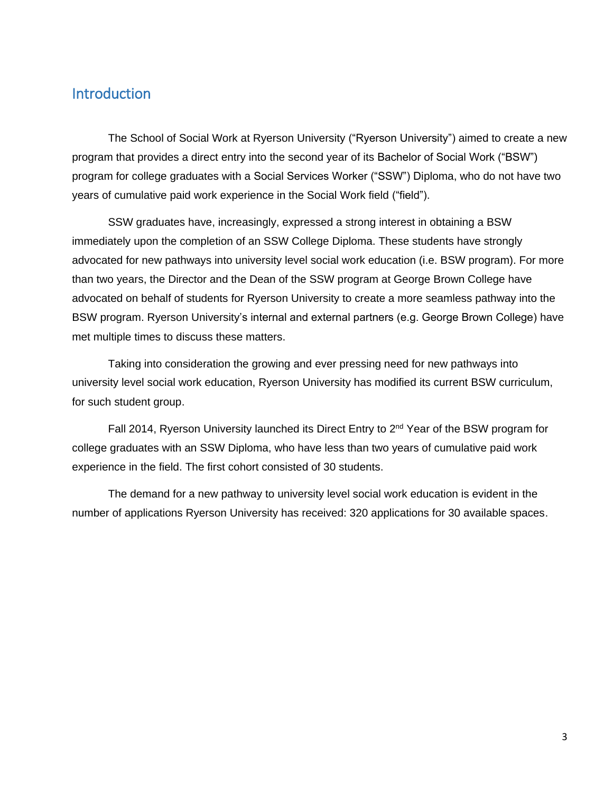# <span id="page-2-0"></span>**Introduction**

The School of Social Work at Ryerson University ("Ryerson University") aimed to create a new program that provides a direct entry into the second year of its Bachelor of Social Work ("BSW") program for college graduates with a Social Services Worker ("SSW") Diploma, who do not have two years of cumulative paid work experience in the Social Work field ("field").

SSW graduates have, increasingly, expressed a strong interest in obtaining a BSW immediately upon the completion of an SSW College Diploma. These students have strongly advocated for new pathways into university level social work education (i.e. BSW program). For more than two years, the Director and the Dean of the SSW program at George Brown College have advocated on behalf of students for Ryerson University to create a more seamless pathway into the BSW program. Ryerson University's internal and external partners (e.g. George Brown College) have met multiple times to discuss these matters.

Taking into consideration the growing and ever pressing need for new pathways into university level social work education, Ryerson University has modified its current BSW curriculum, for such student group.

Fall 2014, Ryerson University launched its Direct Entry to 2<sup>nd</sup> Year of the BSW program for college graduates with an SSW Diploma, who have less than two years of cumulative paid work experience in the field. The first cohort consisted of 30 students.

The demand for a new pathway to university level social work education is evident in the number of applications Ryerson University has received: 320 applications for 30 available spaces.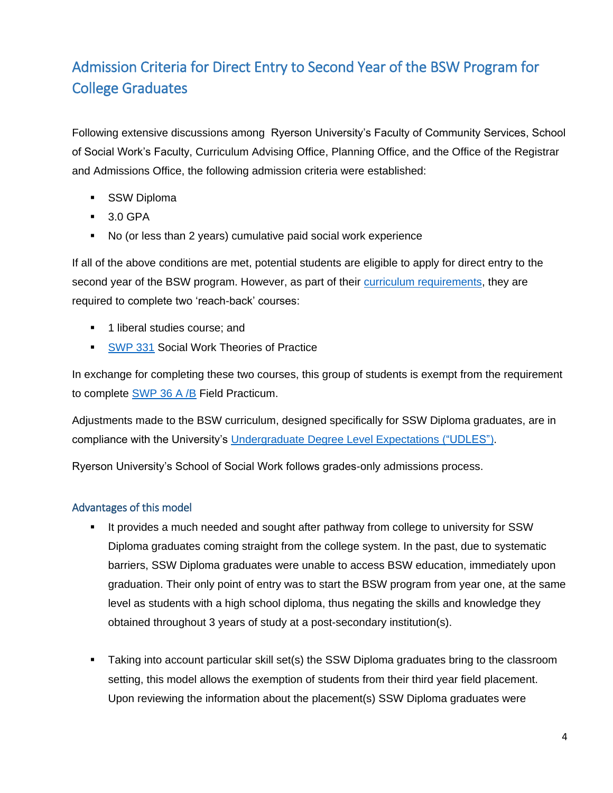# <span id="page-3-0"></span>Admission Criteria for Direct Entry to Second Year of the BSW Program for College Graduates

Following extensive discussions among Ryerson University's Faculty of Community Services, School of Social Work's Faculty, Curriculum Advising Office, Planning Office, and the Office of the Registrar and Admissions Office, the following admission criteria were established:

- **SSW Diploma**
- $-3.0$  GPA
- No (or less than 2 years) cumulative paid social work experience

If all of the above conditions are met, potential students are eligible to apply for direct entry to the second year of the BSW program. However, as part of their [curriculum requirements,](http://www.ryerson.ca/calendar/2014-2015/pg3612.html) they are required to complete two 'reach-back' courses:

- **1** liberal studies course; and
- **[SWP 331](http://www.ryerson.ca/calendar/2014-2015/pg3792.html) Social Work Theories of Practice**

In exchange for completing these two courses, this group of students is exempt from the requirement to complete [SWP 36 A /B](http://www.ryerson.ca/calendar/2014-2015/pg3792.html) Field Practicum.

Adjustments made to the BSW curriculum, designed specifically for SSW Diploma graduates, are in compliance with the University's [Undergraduate Degree Level Expectations \("UDLES"\).](http://ryerson.ca/lt/programs/curriculum/degreelevelexpectations/index.html)

Ryerson University's School of Social Work follows grades-only admissions process.

### <span id="page-3-1"></span>Advantages of this model

- It provides a much needed and sought after pathway from college to university for SSW Diploma graduates coming straight from the college system. In the past, due to systematic barriers, SSW Diploma graduates were unable to access BSW education, immediately upon graduation. Their only point of entry was to start the BSW program from year one, at the same level as students with a high school diploma, thus negating the skills and knowledge they obtained throughout 3 years of study at a post-secondary institution(s).
- **Taking into account particular skill set(s) the SSW Diploma graduates bring to the classroom** setting, this model allows the exemption of students from their third year field placement. Upon reviewing the information about the placement(s) SSW Diploma graduates were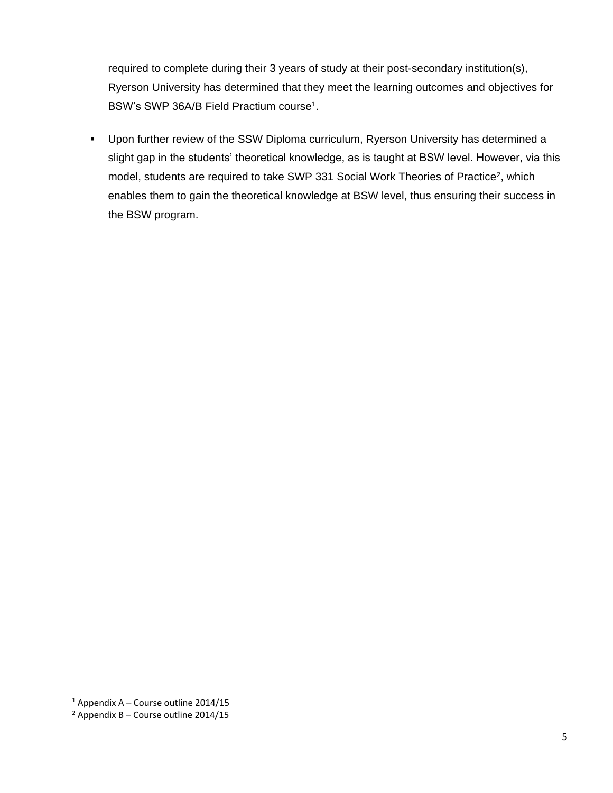required to complete during their 3 years of study at their post-secondary institution(s), Ryerson University has determined that they meet the learning outcomes and objectives for BSW's SWP 36A/B Field Practium course<sup>1</sup>.

 Upon further review of the SSW Diploma curriculum, Ryerson University has determined a slight gap in the students' theoretical knowledge, as is taught at BSW level. However, via this model, students are required to take SWP 331 Social Work Theories of Practice<sup>2</sup>, which enables them to gain the theoretical knowledge at BSW level, thus ensuring their success in the BSW program.

 $\overline{\phantom{a}}$ 

 $1$  Appendix A – Course outline 2014/15

 $2$  Appendix B – Course outline 2014/15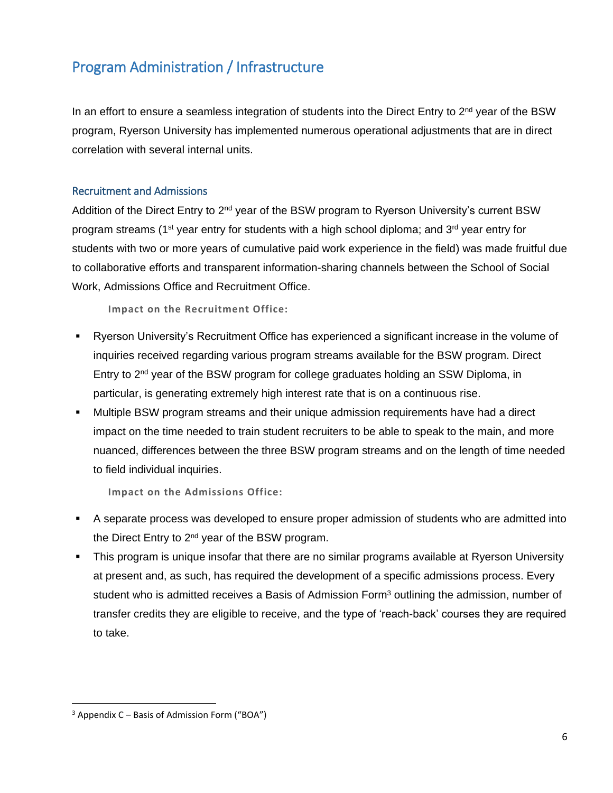# <span id="page-5-0"></span>Program Administration / Infrastructure

In an effort to ensure a seamless integration of students into the Direct Entry to 2<sup>nd</sup> year of the BSW program, Ryerson University has implemented numerous operational adjustments that are in direct correlation with several internal units.

### <span id="page-5-1"></span>Recruitment and Admissions

Addition of the Direct Entry to 2<sup>nd</sup> year of the BSW program to Ryerson University's current BSW program streams (1<sup>st</sup> year entry for students with a high school diploma; and  $3<sup>rd</sup>$  year entry for students with two or more years of cumulative paid work experience in the field) was made fruitful due to collaborative efforts and transparent information-sharing channels between the School of Social Work, Admissions Office and Recruitment Office.

**Impact on the Recruitment Office:** 

- Ryerson University's Recruitment Office has experienced a significant increase in the volume of inquiries received regarding various program streams available for the BSW program. Direct Entry to 2nd year of the BSW program for college graduates holding an SSW Diploma, in particular, is generating extremely high interest rate that is on a continuous rise.
- Multiple BSW program streams and their unique admission requirements have had a direct impact on the time needed to train student recruiters to be able to speak to the main, and more nuanced, differences between the three BSW program streams and on the length of time needed to field individual inquiries.

**Impact on the Admissions Office:**

- A separate process was developed to ensure proper admission of students who are admitted into the Direct Entry to 2<sup>nd</sup> year of the BSW program.
- This program is unique insofar that there are no similar programs available at Ryerson University at present and, as such, has required the development of a specific admissions process. Every student who is admitted receives a Basis of Admission Form<sup>3</sup> outlining the admission, number of transfer credits they are eligible to receive, and the type of 'reach-back' courses they are required to take.

 $\overline{a}$ 

 $3$  Appendix C – Basis of Admission Form ("BOA")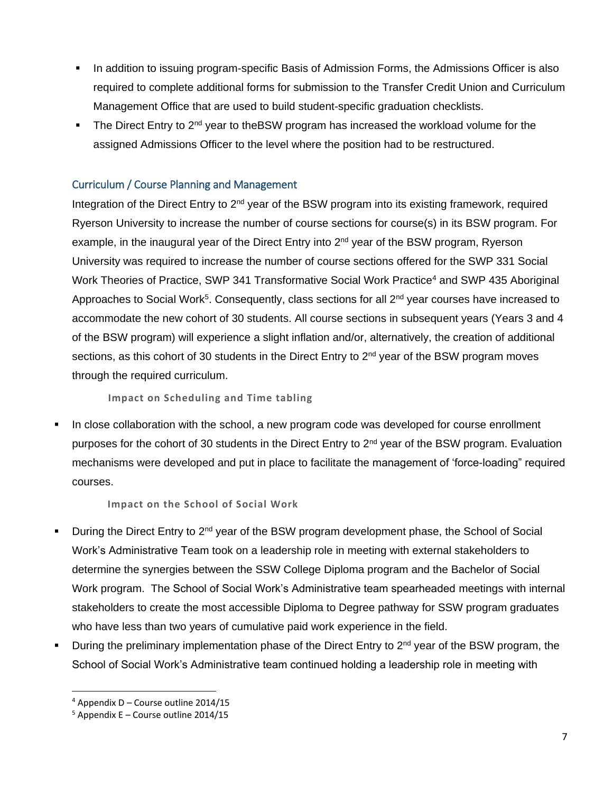- In addition to issuing program-specific Basis of Admission Forms, the Admissions Officer is also required to complete additional forms for submission to the Transfer Credit Union and Curriculum Management Office that are used to build student-specific graduation checklists.
- The Direct Entry to  $2<sup>nd</sup>$  year to the BSW program has increased the workload volume for the assigned Admissions Officer to the level where the position had to be restructured.

# <span id="page-6-0"></span>Curriculum / Course Planning and Management

Integration of the Direct Entry to 2<sup>nd</sup> year of the BSW program into its existing framework, required Ryerson University to increase the number of course sections for course(s) in its BSW program. For example, in the inaugural year of the Direct Entry into 2<sup>nd</sup> year of the BSW program, Ryerson University was required to increase the number of course sections offered for the SWP 331 Social Work Theories of Practice, SWP 341 Transformative Social Work Practice<sup>4</sup> and SWP 435 Aboriginal Approaches to Social Work<sup>5</sup>. Consequently, class sections for all 2<sup>nd</sup> year courses have increased to accommodate the new cohort of 30 students. All course sections in subsequent years (Years 3 and 4 of the BSW program) will experience a slight inflation and/or, alternatively, the creation of additional sections, as this cohort of 30 students in the Direct Entry to  $2<sup>nd</sup>$  year of the BSW program moves through the required curriculum.

**Impact on Scheduling and Time tabling**

 In close collaboration with the school, a new program code was developed for course enrollment purposes for the cohort of 30 students in the Direct Entry to 2<sup>nd</sup> year of the BSW program. Evaluation mechanisms were developed and put in place to facilitate the management of 'force-loading" required courses.

**Impact on the School of Social Work**

- During the Direct Entry to 2<sup>nd</sup> year of the BSW program development phase, the School of Social Work's Administrative Team took on a leadership role in meeting with external stakeholders to determine the synergies between the SSW College Diploma program and the Bachelor of Social Work program. The School of Social Work's Administrative team spearheaded meetings with internal stakeholders to create the most accessible Diploma to Degree pathway for SSW program graduates who have less than two years of cumulative paid work experience in the field.
- During the preliminary implementation phase of the Direct Entry to  $2<sup>nd</sup>$  year of the BSW program, the School of Social Work's Administrative team continued holding a leadership role in meeting with

 $\overline{\phantom{a}}$ 

 $4$  Appendix D – Course outline 2014/15

 $5$  Appendix E – Course outline 2014/15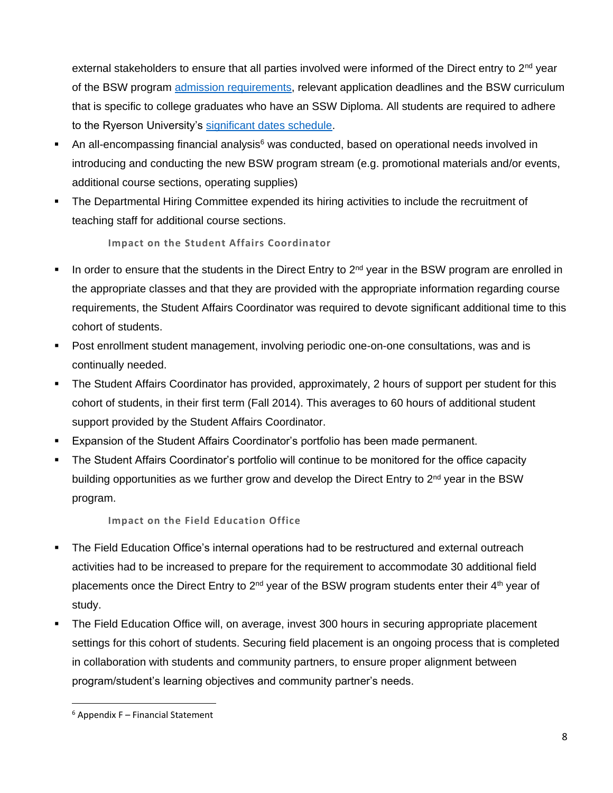external stakeholders to ensure that all parties involved were informed of the Direct entry to  $2<sup>nd</sup>$  year of the BSW program **admission requirements**, relevant application deadlines and the BSW curriculum that is specific to college graduates who have an SSW Diploma. All students are required to adhere to the Ryerson University's [significant dates schedule.](http://www.ryerson.ca/currentstudents/calendars/significant-dates.html)

- An all-encompassing financial analysis $6$  was conducted, based on operational needs involved in introducing and conducting the new BSW program stream (e.g. promotional materials and/or events, additional course sections, operating supplies)
- The Departmental Hiring Committee expended its hiring activities to include the recruitment of teaching staff for additional course sections.

**Impact on the Student Affairs Coordinator**

- In order to ensure that the students in the Direct Entry to  $2<sup>nd</sup>$  year in the BSW program are enrolled in the appropriate classes and that they are provided with the appropriate information regarding course requirements, the Student Affairs Coordinator was required to devote significant additional time to this cohort of students.
- Post enrollment student management, involving periodic one-on-one consultations, was and is continually needed.
- The Student Affairs Coordinator has provided, approximately, 2 hours of support per student for this cohort of students, in their first term (Fall 2014). This averages to 60 hours of additional student support provided by the Student Affairs Coordinator.
- Expansion of the Student Affairs Coordinator's portfolio has been made permanent.
- The Student Affairs Coordinator's portfolio will continue to be monitored for the office capacity building opportunities as we further grow and develop the Direct Entry to 2<sup>nd</sup> year in the BSW program.

**Impact on the Field Education Office**

- The Field Education Office's internal operations had to be restructured and external outreach activities had to be increased to prepare for the requirement to accommodate 30 additional field placements once the Direct Entry to  $2<sup>nd</sup>$  year of the BSW program students enter their 4<sup>th</sup> year of study.
- The Field Education Office will, on average, invest 300 hours in securing appropriate placement settings for this cohort of students. Securing field placement is an ongoing process that is completed in collaboration with students and community partners, to ensure proper alignment between program/student's learning objectives and community partner's needs.

 $\overline{a}$  $6$  Appendix F – Financial Statement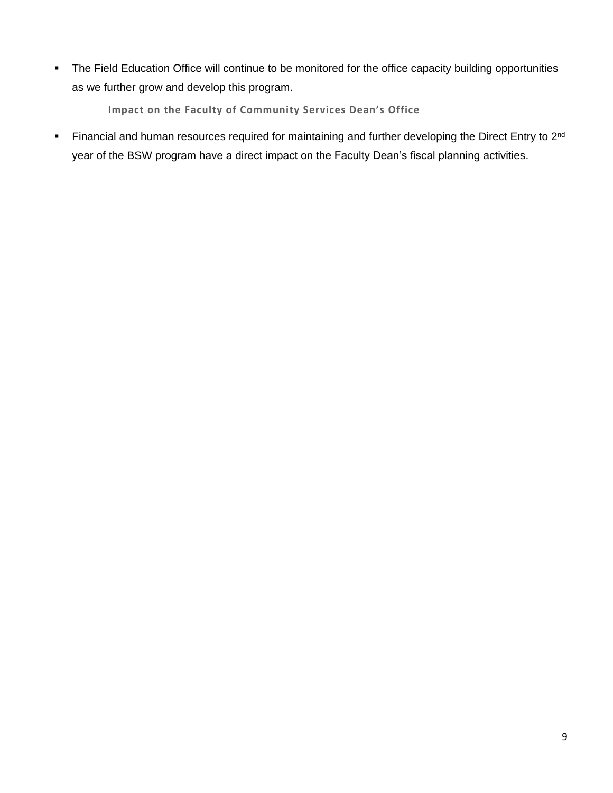• The Field Education Office will continue to be monitored for the office capacity building opportunities as we further grow and develop this program.

**Impact on the Faculty of Community Services Dean's Office**

Financial and human resources required for maintaining and further developing the Direct Entry to 2<sup>nd</sup> year of the BSW program have a direct impact on the Faculty Dean's fiscal planning activities.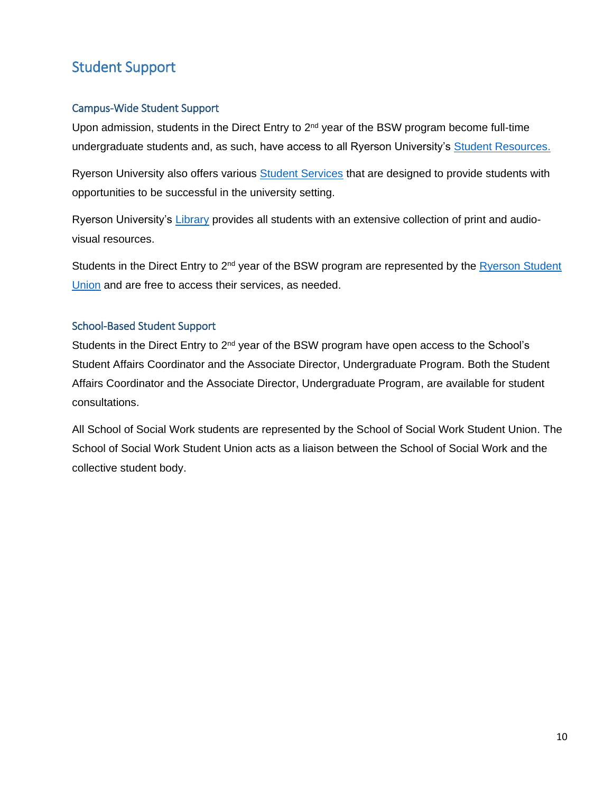# <span id="page-9-0"></span>Student Support

# <span id="page-9-1"></span>Campus-Wide Student Support

Upon admission, students in the Direct Entry to  $2<sup>nd</sup>$  year of the BSW program become full-time undergraduate students and, as such, have access to all Ryerson University's [Student Resources.](http://www.ryerson.ca/currentstudents/)

Ryerson University also offers various [Student Services](http://www.ryerson.ca/studentservices/) that are designed to provide students with opportunities to be successful in the university setting.

Ryerson University's [Library](http://library.ryerson.ca/) provides all students with an extensive collection of print and audiovisual resources.

Students in the Direct Entry to 2<sup>nd</sup> year of the BSW program are represented by the Ryerson Student [Union](http://www.ryerson.ca/content/dam/undergraduate/admission/downloads/TIR2015/RSU.pdf) and are free to access their services, as needed.

### <span id="page-9-2"></span>School-Based Student Support

Students in the Direct Entry to 2<sup>nd</sup> year of the BSW program have open access to the School's Student Affairs Coordinator and the Associate Director, Undergraduate Program. Both the Student Affairs Coordinator and the Associate Director, Undergraduate Program, are available for student consultations.

All School of Social Work students are represented by the School of Social Work Student Union. The School of Social Work Student Union acts as a liaison between the School of Social Work and the collective student body.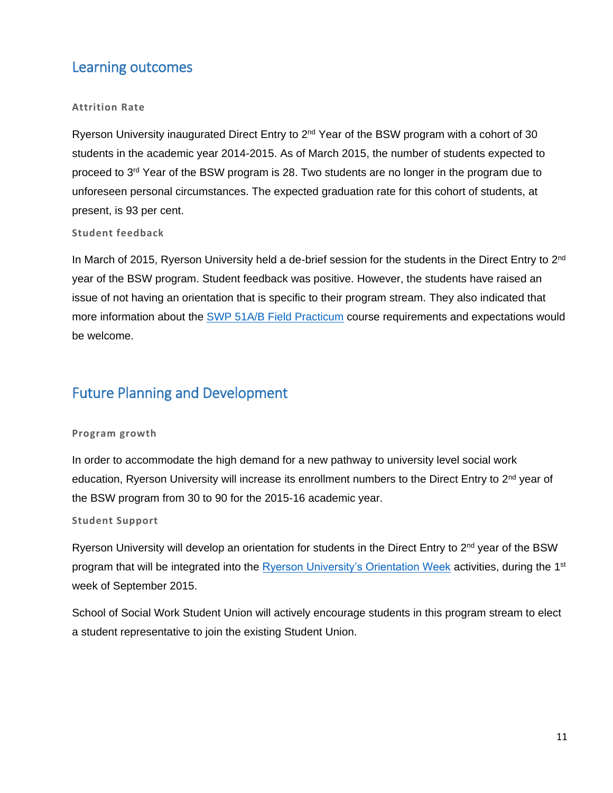# <span id="page-10-0"></span>Learning outcomes

### **Attrition Rate**

Ryerson University inaugurated Direct Entry to 2<sup>nd</sup> Year of the BSW program with a cohort of 30 students in the academic year 2014-2015. As of March 2015, the number of students expected to proceed to 3<sup>rd</sup> Year of the BSW program is 28. Two students are no longer in the program due to unforeseen personal circumstances. The expected graduation rate for this cohort of students, at present, is 93 per cent.

### **Student feedback**

In March of 2015, Ryerson University held a de-brief session for the students in the Direct Entry to 2<sup>nd</sup> year of the BSW program. Student feedback was positive. However, the students have raised an issue of not having an orientation that is specific to their program stream. They also indicated that more information about the [SWP 51A/B Field Practicum](http://www.ryerson.ca/calendar/2013-2014/pg3418.html) course requirements and expectations would be welcome.

# <span id="page-10-1"></span>Future Planning and Development

### **Program growth**

In order to accommodate the high demand for a new pathway to university level social work education, Ryerson University will increase its enrollment numbers to the Direct Entry to 2<sup>nd</sup> year of the BSW program from 30 to 90 for the 2015-16 academic year.

### **Student Support**

Ryerson University will develop an orientation for students in the Direct Entry to 2<sup>nd</sup> year of the BSW program that will be integrated into the [Ryerson University's Orientation Week](http://studentlife.ryerson.ca/orientation/) activities, during the 1<sup>st</sup> week of September 2015.

School of Social Work Student Union will actively encourage students in this program stream to elect a student representative to join the existing Student Union.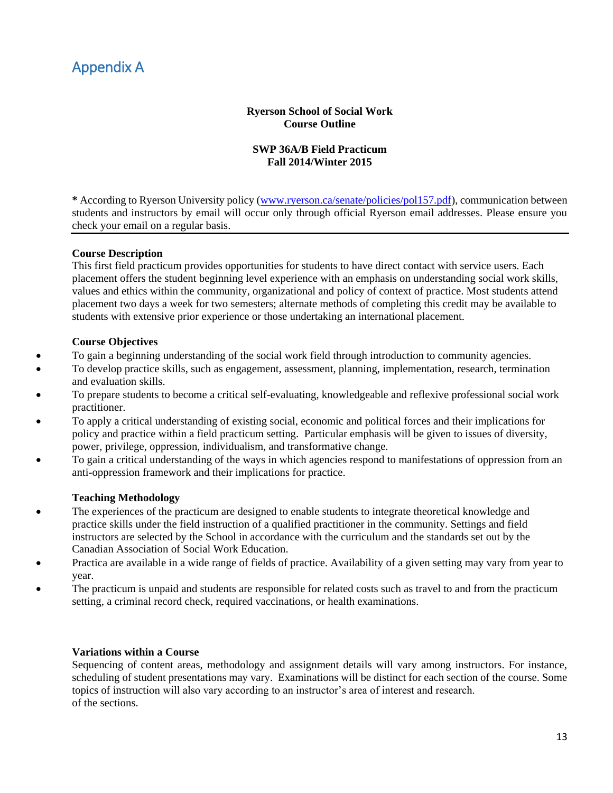# <span id="page-11-0"></span>Appendix A

### **Ryerson School of Social Work Course Outline**

### **SWP 36A/B Field Practicum Fall 2014/Winter 2015**

**\*** According to Ryerson University policy [\(www.ryerson.ca/senate/policies/pol157.pdf\)](http://www.ryerson.ca/senate/policies/pol157.pdf), communication between students and instructors by email will occur only through official Ryerson email addresses. Please ensure you check your email on a regular basis.

### **Course Description**

This first field practicum provides opportunities for students to have direct contact with service users. Each placement offers the student beginning level experience with an emphasis on understanding social work skills, values and ethics within the community, organizational and policy of context of practice. Most students attend placement two days a week for two semesters; alternate methods of completing this credit may be available to students with extensive prior experience or those undertaking an international placement.

### **Course Objectives**

- To gain a beginning understanding of the social work field through introduction to community agencies.
- To develop practice skills, such as engagement, assessment, planning, implementation, research, termination and evaluation skills.
- To prepare students to become a critical self-evaluating, knowledgeable and reflexive professional social work practitioner.
- To apply a critical understanding of existing social, economic and political forces and their implications for policy and practice within a field practicum setting. Particular emphasis will be given to issues of diversity, power, privilege, oppression, individualism, and transformative change.
- To gain a critical understanding of the ways in which agencies respond to manifestations of oppression from an anti-oppression framework and their implications for practice.

### **Teaching Methodology**

- The experiences of the practicum are designed to enable students to integrate theoretical knowledge and practice skills under the field instruction of a qualified practitioner in the community. Settings and field instructors are selected by the School in accordance with the curriculum and the standards set out by the Canadian Association of Social Work Education.
- Practica are available in a wide range of fields of practice. Availability of a given setting may vary from year to year.
- The practicum is unpaid and students are responsible for related costs such as travel to and from the practicum setting, a criminal record check, required vaccinations, or health examinations.

### **Variations within a Course**

Sequencing of content areas, methodology and assignment details will vary among instructors. For instance, scheduling of student presentations may vary. Examinations will be distinct for each section of the course. Some topics of instruction will also vary according to an instructor's area of interest and research. of the sections.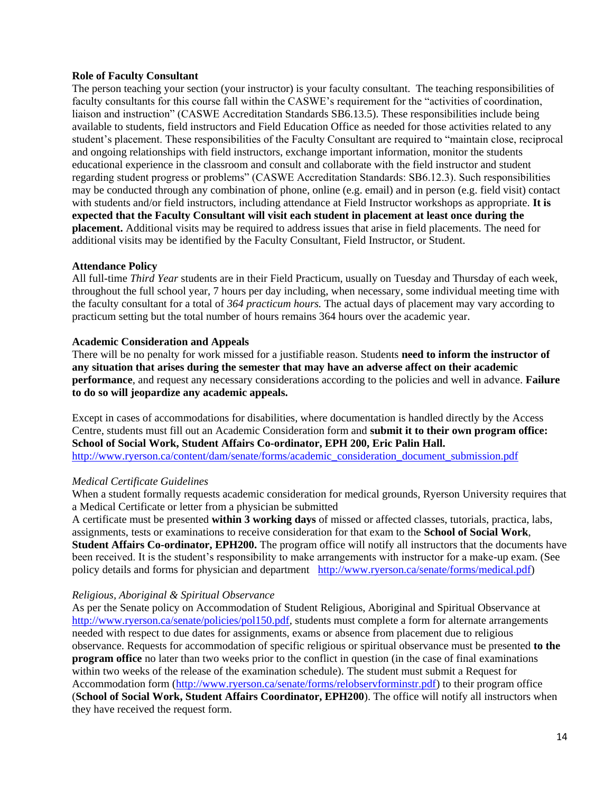#### **Role of Faculty Consultant**

The person teaching your section (your instructor) is your faculty consultant. The teaching responsibilities of faculty consultants for this course fall within the CASWE's requirement for the "activities of coordination, liaison and instruction" (CASWE Accreditation Standards SB6.13.5). These responsibilities include being available to students, field instructors and Field Education Office as needed for those activities related to any student's placement. These responsibilities of the Faculty Consultant are required to "maintain close, reciprocal and ongoing relationships with field instructors, exchange important information, monitor the students educational experience in the classroom and consult and collaborate with the field instructor and student regarding student progress or problems" (CASWE Accreditation Standards: SB6.12.3). Such responsibilities may be conducted through any combination of phone, online (e.g. email) and in person (e.g. field visit) contact with students and/or field instructors, including attendance at Field Instructor workshops as appropriate. **It is expected that the Faculty Consultant will visit each student in placement at least once during the placement.** Additional visits may be required to address issues that arise in field placements. The need for additional visits may be identified by the Faculty Consultant, Field Instructor, or Student.

#### **Attendance Policy**

All full-time *Third Year* students are in their Field Practicum, usually on Tuesday and Thursday of each week, throughout the full school year, 7 hours per day including, when necessary, some individual meeting time with the faculty consultant for a total of *364 practicum hours.* The actual days of placement may vary according to practicum setting but the total number of hours remains 364 hours over the academic year.

#### **Academic Consideration and Appeals**

There will be no penalty for work missed for a justifiable reason. Students **need to inform the instructor of any situation that arises during the semester that may have an adverse affect on their academic performance**, and request any necessary considerations according to the policies and well in advance. **Failure to do so will jeopardize any academic appeals.**

Except in cases of accommodations for disabilities, where documentation is handled directly by the Access Centre, students must fill out an Academic Consideration form and **submit it to their own program office: School of Social Work, Student Affairs Co-ordinator, EPH 200, Eric Palin Hall.** [http://www.ryerson.ca/content/dam/senate/forms/academic\\_consideration\\_document\\_submission.pdf](http://www.ryerson.ca/content/dam/senate/forms/academic_consideration_document_submission.pdf)

### *Medical Certificate Guidelines*

When a student formally requests academic consideration for medical grounds, Ryerson University requires that a Medical Certificate or letter from a physician be submitted

A certificate must be presented **within 3 working days** of missed or affected classes, tutorials, practica, labs, assignments, tests or examinations to receive consideration for that exam to the **School of Social Work**, **Student Affairs Co-ordinator, EPH200.** The program office will notify all instructors that the documents have been received. It is the student's responsibility to make arrangements with instructor for a make-up exam. (See policy details and forms for physician and department [http://www.ryerson.ca/senate/forms/medical.pdf\)](http://www.ryerson.ca/senate/forms/medical.pdf)

### *Religious, Aboriginal & Spiritual Observance*

As per the Senate policy on Accommodation of Student Religious, Aboriginal and Spiritual Observance at [http://www.ryerson.ca/senate/policies/pol150.pdf,](http://www.ryerson.ca/senate/policies/pol150.pdf) students must complete a form for alternate arrangements needed with respect to due dates for assignments, exams or absence from placement due to religious observance. Requests for accommodation of specific religious or spiritual observance must be presented **to the program office** no later than two weeks prior to the conflict in question (in the case of final examinations within two weeks of the release of the examination schedule). The student must submit a Request for Accommodation form [\(http://www.ryerson.ca/senate/forms/relobservforminstr.pdf\)](http://www.ryerson.ca/senate/forms/relobservforminstr.pdf) to their program office (**School of Social Work, Student Affairs Coordinator, EPH200**). The office will notify all instructors when they have received the request form.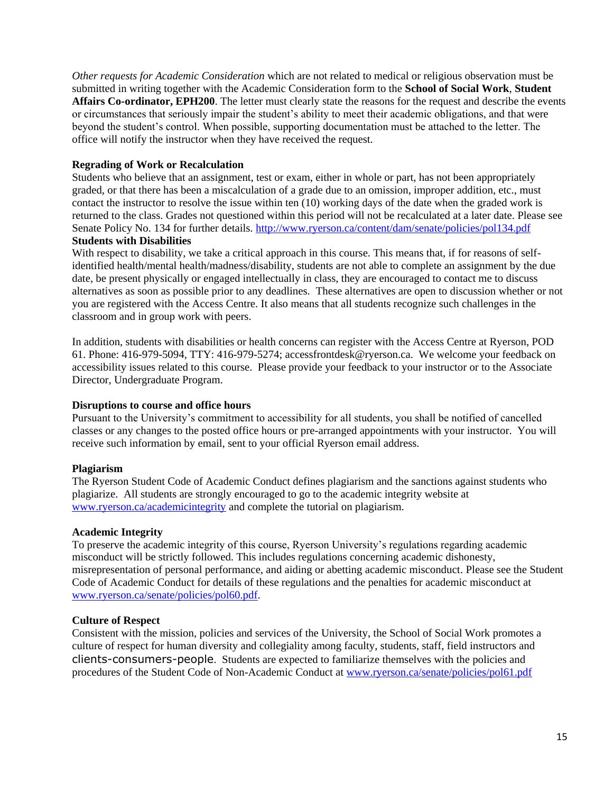*Other requests for Academic Consideration* which are not related to medical or religious observation must be submitted in writing together with the Academic Consideration form to the **School of Social Work**, **Student Affairs Co-ordinator, EPH200**. The letter must clearly state the reasons for the request and describe the events or circumstances that seriously impair the student's ability to meet their academic obligations, and that were beyond the student's control. When possible, supporting documentation must be attached to the letter. The office will notify the instructor when they have received the request.

### **Regrading of Work or Recalculation**

Students who believe that an assignment, test or exam, either in whole or part, has not been appropriately graded, or that there has been a miscalculation of a grade due to an omission, improper addition, etc., must contact the instructor to resolve the issue within ten (10) working days of the date when the graded work is returned to the class. Grades not questioned within this period will not be recalculated at a later date. Please see Senate Policy No. 134 for further details.<http://www.ryerson.ca/content/dam/senate/policies/pol134.pdf> **Students with Disabilities**

With respect to disability, we take a critical approach in this course. This means that, if for reasons of selfidentified health/mental health/madness/disability, students are not able to complete an assignment by the due date, be present physically or engaged intellectually in class, they are encouraged to contact me to discuss alternatives as soon as possible prior to any deadlines. These alternatives are open to discussion whether or not you are registered with the Access Centre. It also means that all students recognize such challenges in the classroom and in group work with peers.

In addition, students with disabilities or health concerns can register with the Access Centre at Ryerson, POD 61. Phone: 416-979-5094, TTY: 416-979-5274; accessfrontdesk@ryerson.ca. We welcome your feedback on accessibility issues related to this course. Please provide your feedback to your instructor or to the Associate Director, Undergraduate Program.

#### **Disruptions to course and office hours**

Pursuant to the University's commitment to accessibility for all students, you shall be notified of cancelled classes or any changes to the posted office hours or pre-arranged appointments with your instructor. You will receive such information by email, sent to your official Ryerson email address.

### **Plagiarism**

The Ryerson Student Code of Academic Conduct defines plagiarism and the sanctions against students who plagiarize. All students are strongly encouraged to go to the academic integrity website at [www.ryerson.ca/academicintegrity](http://www.ryerson.ca/academicintegrity) and complete the tutorial on plagiarism.

#### **Academic Integrity**

To preserve the academic integrity of this course, Ryerson University's regulations regarding academic misconduct will be strictly followed. This includes regulations concerning academic dishonesty, misrepresentation of personal performance, and aiding or abetting academic misconduct. Please see the Student Code of Academic Conduct for details of these regulations and the penalties for academic misconduct at [www.ryerson.ca/senate/policies/pol60.pdf.](http://www.ryerson.ca/senate/policies/pol60.pdf)

#### **Culture of Respect**

Consistent with the mission, policies and services of the University, the School of Social Work promotes a culture of respect for human diversity and collegiality among faculty, students, staff, field instructors and clients-consumers-people. Students are expected to familiarize themselves with the policies and procedures of the Student Code of Non-Academic Conduct at [www.ryerson.ca/senate/policies/pol61.pdf](http://www.ryerson.ca/senate/policies/pol61.pdf)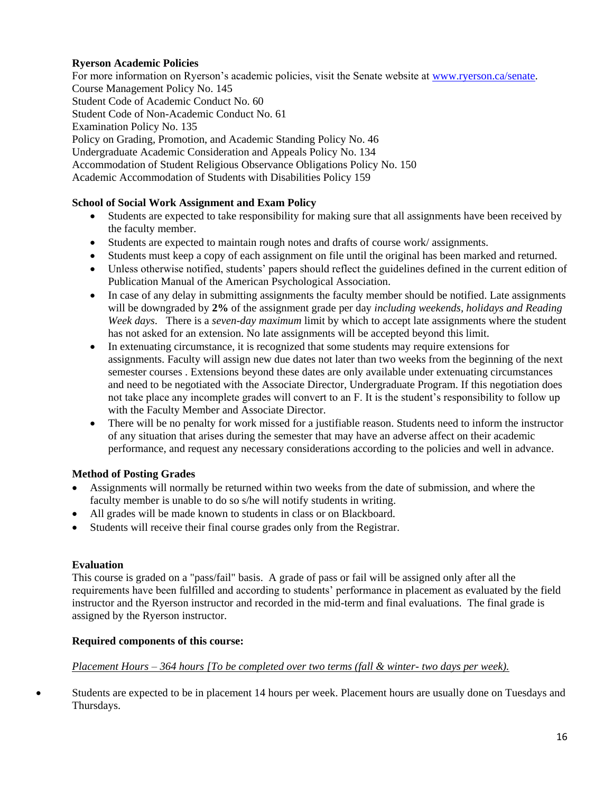### **Ryerson Academic Policies**

For more information on Ryerson's academic policies, visit the Senate website at [www.ryerson.ca/senate.](http://www.ryerson.ca/senate) Course Management Policy No. 145 Student Code of Academic Conduct No. 60 Student Code of Non-Academic Conduct No. 61 Examination Policy No. 135 Policy on Grading, Promotion, and Academic Standing Policy No. 46 Undergraduate Academic Consideration and Appeals Policy No. 134 Accommodation of Student Religious Observance Obligations Policy No. 150 Academic Accommodation of Students with Disabilities Policy 159

### **School of Social Work Assignment and Exam Policy**

- Students are expected to take responsibility for making sure that all assignments have been received by the faculty member.
- Students are expected to maintain rough notes and drafts of course work/ assignments.
- Students must keep a copy of each assignment on file until the original has been marked and returned.
- Unless otherwise notified, students' papers should reflect the guidelines defined in the current edition of Publication Manual of the American Psychological Association.
- In case of any delay in submitting assignments the faculty member should be notified. Late assignments will be downgraded by **2%** of the assignment grade per day *including weekends, holidays and Reading Week days*. There is a *seven-day maximum* limit by which to accept late assignments where the student has not asked for an extension. No late assignments will be accepted beyond this limit.
- In extenuating circumstance, it is recognized that some students may require extensions for assignments. Faculty will assign new due dates not later than two weeks from the beginning of the next semester courses . Extensions beyond these dates are only available under extenuating circumstances and need to be negotiated with the Associate Director, Undergraduate Program. If this negotiation does not take place any incomplete grades will convert to an F. It is the student's responsibility to follow up with the Faculty Member and Associate Director.
- There will be no penalty for work missed for a justifiable reason. Students need to inform the instructor of any situation that arises during the semester that may have an adverse affect on their academic performance, and request any necessary considerations according to the policies and well in advance.

### **Method of Posting Grades**

- Assignments will normally be returned within two weeks from the date of submission, and where the faculty member is unable to do so s/he will notify students in writing.
- All grades will be made known to students in class or on Blackboard.
- Students will receive their final course grades only from the Registrar.

### **Evaluation**

This course is graded on a "pass/fail" basis. A grade of pass or fail will be assigned only after all the requirements have been fulfilled and according to students' performance in placement as evaluated by the field instructor and the Ryerson instructor and recorded in the mid-term and final evaluations. The final grade is assigned by the Ryerson instructor.

### **Required components of this course:**

### *Placement Hours – 364 hours [To be completed over two terms (fall & winter- two days per week).*

 Students are expected to be in placement 14 hours per week. Placement hours are usually done on Tuesdays and Thursdays.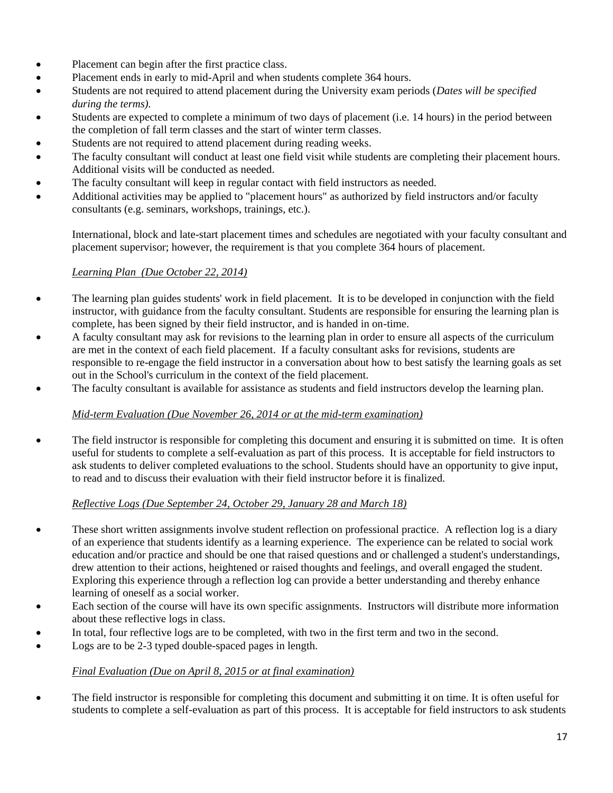- Placement can begin after the first practice class.
- Placement ends in early to mid-April and when students complete 364 hours.
- Students are not required to attend placement during the University exam periods (*Dates will be specified during the terms).*
- Students are expected to complete a minimum of two days of placement (i.e. 14 hours) in the period between the completion of fall term classes and the start of winter term classes.
- Students are not required to attend placement during reading weeks.
- The faculty consultant will conduct at least one field visit while students are completing their placement hours. Additional visits will be conducted as needed.
- The faculty consultant will keep in regular contact with field instructors as needed.
- Additional activities may be applied to "placement hours" as authorized by field instructors and/or faculty consultants (e.g. seminars, workshops, trainings, etc.).

International, block and late-start placement times and schedules are negotiated with your faculty consultant and placement supervisor; however, the requirement is that you complete 364 hours of placement.

### *Learning Plan (Due October 22, 2014)*

- The learning plan guides students' work in field placement. It is to be developed in conjunction with the field instructor, with guidance from the faculty consultant. Students are responsible for ensuring the learning plan is complete, has been signed by their field instructor, and is handed in on-time.
- A faculty consultant may ask for revisions to the learning plan in order to ensure all aspects of the curriculum are met in the context of each field placement. If a faculty consultant asks for revisions, students are responsible to re-engage the field instructor in a conversation about how to best satisfy the learning goals as set out in the School's curriculum in the context of the field placement.
- The faculty consultant is available for assistance as students and field instructors develop the learning plan.

# *Mid-term Evaluation (Due November 26, 2014 or at the mid-term examination)*

• The field instructor is responsible for completing this document and ensuring it is submitted on time. It is often useful for students to complete a self-evaluation as part of this process. It is acceptable for field instructors to ask students to deliver completed evaluations to the school. Students should have an opportunity to give input, to read and to discuss their evaluation with their field instructor before it is finalized.

### *Reflective Logs (Due September 24, October 29, January 28 and March 18)*

- These short written assignments involve student reflection on professional practice. A reflection log is a diary of an experience that students identify as a learning experience. The experience can be related to social work education and/or practice and should be one that raised questions and or challenged a student's understandings, drew attention to their actions, heightened or raised thoughts and feelings, and overall engaged the student. Exploring this experience through a reflection log can provide a better understanding and thereby enhance learning of oneself as a social worker.
- Each section of the course will have its own specific assignments. Instructors will distribute more information about these reflective logs in class.
- In total, four reflective logs are to be completed, with two in the first term and two in the second.
- Logs are to be 2-3 typed double-spaced pages in length.

### *Final Evaluation (Due on April 8, 2015 or at final examination)*

 The field instructor is responsible for completing this document and submitting it on time. It is often useful for students to complete a self-evaluation as part of this process. It is acceptable for field instructors to ask students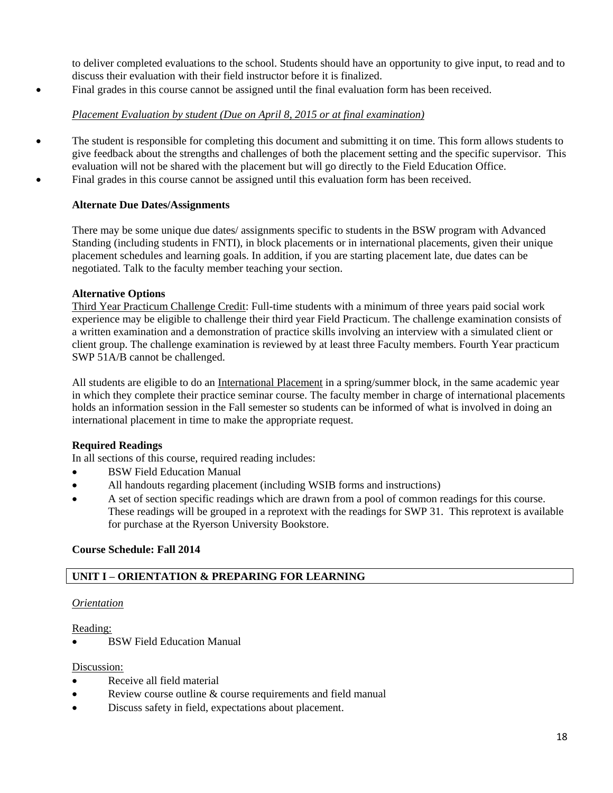to deliver completed evaluations to the school. Students should have an opportunity to give input, to read and to discuss their evaluation with their field instructor before it is finalized.

Final grades in this course cannot be assigned until the final evaluation form has been received.

# *Placement Evaluation by student (Due on April 8, 2015 or at final examination)*

• The student is responsible for completing this document and submitting it on time. This form allows students to give feedback about the strengths and challenges of both the placement setting and the specific supervisor. This evaluation will not be shared with the placement but will go directly to the Field Education Office. Final grades in this course cannot be assigned until this evaluation form has been received.

# **Alternate Due Dates/Assignments**

There may be some unique due dates/ assignments specific to students in the BSW program with Advanced Standing (including students in FNTI), in block placements or in international placements, given their unique placement schedules and learning goals. In addition, if you are starting placement late, due dates can be negotiated. Talk to the faculty member teaching your section.

# **Alternative Options**

Third Year Practicum Challenge Credit: Full-time students with a minimum of three years paid social work experience may be eligible to challenge their third year Field Practicum. The challenge examination consists of a written examination and a demonstration of practice skills involving an interview with a simulated client or client group. The challenge examination is reviewed by at least three Faculty members. Fourth Year practicum SWP 51A/B cannot be challenged.

All students are eligible to do an International Placement in a spring/summer block, in the same academic year in which they complete their practice seminar course. The faculty member in charge of international placements holds an information session in the Fall semester so students can be informed of what is involved in doing an international placement in time to make the appropriate request.

# **Required Readings**

In all sections of this course, required reading includes:

- BSW Field Education Manual
- All handouts regarding placement (including WSIB forms and instructions)
- A set of section specific readings which are drawn from a pool of common readings for this course. These readings will be grouped in a reprotext with the readings for SWP 31. This reprotext is available for purchase at the Ryerson University Bookstore.

# **Course Schedule: Fall 2014**

# **UNIT I – ORIENTATION & PREPARING FOR LEARNING**

# *Orientation*

Reading:

BSW Field Education Manual

# Discussion:

- Receive all field material
- Review course outline & course requirements and field manual
- Discuss safety in field, expectations about placement.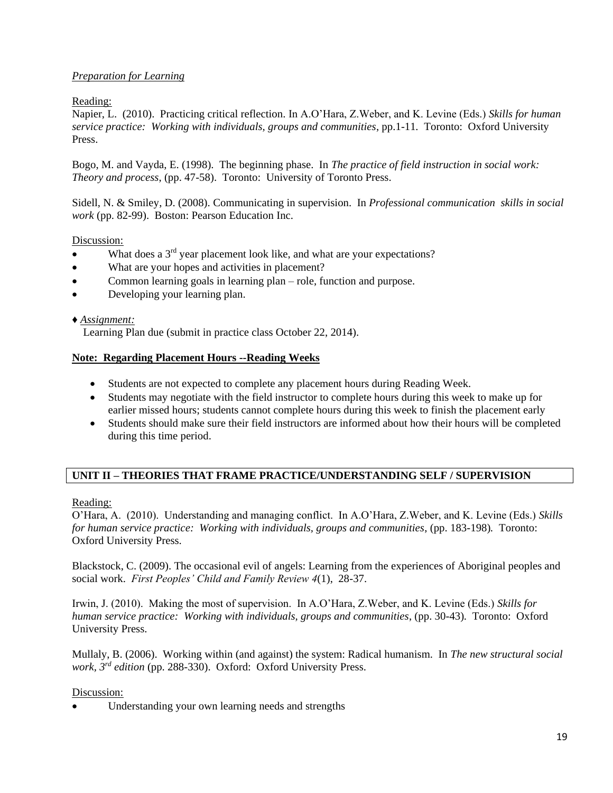### *Preparation for Learning*

### Reading:

Napier, L. (2010). Practicing critical reflection. In A.O'Hara, Z.Weber, and K. Levine (Eds.) *Skills for human service practice: Working with individuals, groups and communities*, pp.1-11*.* Toronto: Oxford University Press.

Bogo, M. and Vayda, E. (1998). The beginning phase. In *The practice of field instruction in social work: Theory and process*, (pp. 47-58). Toronto: University of Toronto Press.

Sidell, N. & Smiley, D. (2008). Communicating in supervision. In *Professional communication skills in social work* (pp. 82-99). Boston: Pearson Education Inc.

### Discussion:

- What does a  $3<sup>rd</sup>$  year placement look like, and what are your expectations?
- What are your hopes and activities in placement?
- Common learning goals in learning plan role, function and purpose.
- Developing your learning plan.

### *♦ Assignment:*

Learning Plan due (submit in practice class October 22, 2014).

### **Note: Regarding Placement Hours --Reading Weeks**

- Students are not expected to complete any placement hours during Reading Week.
- Students may negotiate with the field instructor to complete hours during this week to make up for earlier missed hours; students cannot complete hours during this week to finish the placement early
- Students should make sure their field instructors are informed about how their hours will be completed during this time period.

### **UNIT II – THEORIES THAT FRAME PRACTICE/UNDERSTANDING SELF / SUPERVISION**

### Reading:

O'Hara, A. (2010). Understanding and managing conflict. In A.O'Hara, Z.Weber, and K. Levine (Eds.) *Skills for human service practice: Working with individuals, groups and communities*, (pp. 183-198)*.* Toronto: Oxford University Press.

Blackstock, C. (2009). The occasional evil of angels: Learning from the experiences of Aboriginal peoples and social work. *First Peoples' Child and Family Review 4*(1), 28-37.

Irwin, J. (2010). Making the most of supervision. In A.O'Hara, Z.Weber, and K. Levine (Eds.) *Skills for human service practice: Working with individuals, groups and communities*, (pp. 30-43)*.* Toronto: Oxford University Press.

Mullaly, B. (2006). Working within (and against) the system: Radical humanism. In *The new structural social work, 3rd edition* (pp. 288-330). Oxford: Oxford University Press.

### Discussion:

Understanding your own learning needs and strengths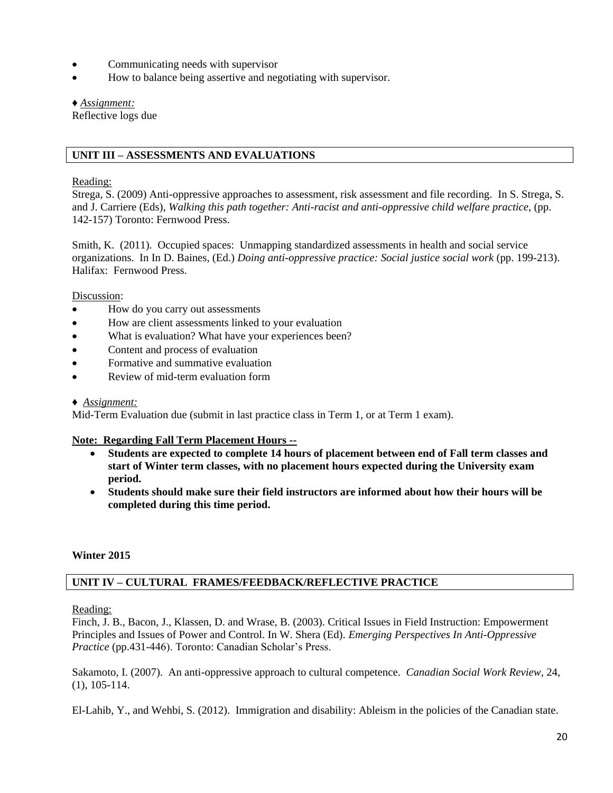- Communicating needs with supervisor
- How to balance being assertive and negotiating with supervisor.

#### *♦ Assignment:*

Reflective logs due

### **UNIT III – ASSESSMENTS AND EVALUATIONS**

#### Reading:

Strega, S. (2009) Anti-oppressive approaches to assessment, risk assessment and file recording. In S. Strega, S. and J. Carriere (Eds), *Walking this path together: Anti-racist and anti-oppressive child welfare practice,* (pp. 142-157) Toronto: Fernwood Press.

Smith, K. (2011). Occupied spaces: Unmapping standardized assessments in health and social service organizations. In In D. Baines, (Ed.) *Doing anti-oppressive practice: Social justice social work* (pp. 199-213). Halifax: Fernwood Press.

Discussion:

- How do you carry out assessments
- How are client assessments linked to your evaluation
- What is evaluation? What have your experiences been?
- Content and process of evaluation
- Formative and summative evaluation
- Review of mid-term evaluation form

### *♦ Assignment:*

Mid-Term Evaluation due (submit in last practice class in Term 1, or at Term 1 exam).

### **Note: Regarding Fall Term Placement Hours --**

- **Students are expected to complete 14 hours of placement between end of Fall term classes and start of Winter term classes, with no placement hours expected during the University exam period.**
- **Students should make sure their field instructors are informed about how their hours will be completed during this time period.**

### **Winter 2015**

### **UNIT IV – CULTURAL FRAMES/FEEDBACK/REFLECTIVE PRACTICE**

Reading:

Finch, J. B., Bacon, J., Klassen, D. and Wrase, B. (2003). Critical Issues in Field Instruction: Empowerment Principles and Issues of Power and Control. In W. Shera (Ed). *Emerging Perspectives In Anti-Oppressive Practice* (pp.431-446). Toronto: Canadian Scholar's Press.

Sakamoto, I. (2007). An anti-oppressive approach to cultural competence. *Canadian Social Work Review*, 24, (1), 105-114.

El-Lahib, Y., and Wehbi, S. (2012). Immigration and disability: Ableism in the policies of the Canadian state.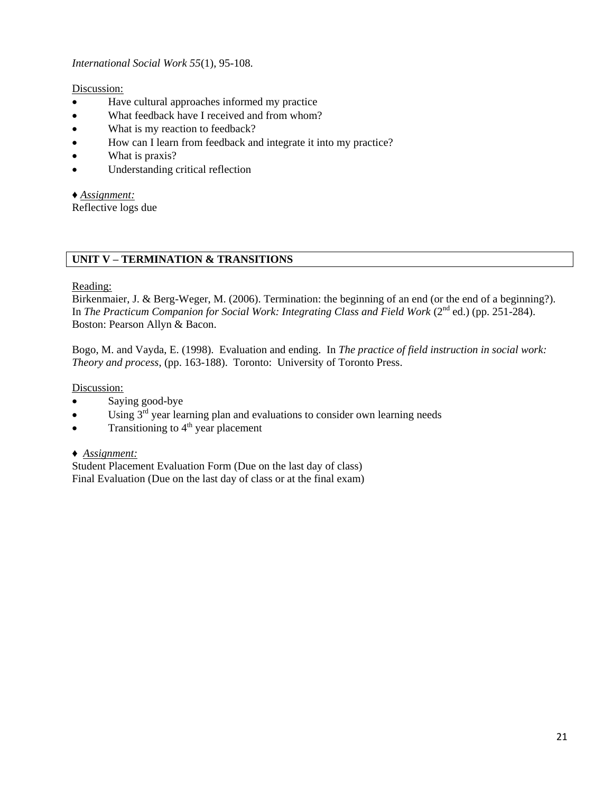*International Social Work 55*(1), 95-108.

Discussion:

- Have cultural approaches informed my practice
- What feedback have I received and from whom?
- What is my reaction to feedback?
- How can I learn from feedback and integrate it into my practice?
- What is praxis?
- Understanding critical reflection

*♦ Assignment:*

Reflective logs due

### **UNIT V – TERMINATION & TRANSITIONS**

### Reading:

Birkenmaier, J. & Berg-Weger, M. (2006). Termination: the beginning of an end (or the end of a beginning?). In *The Practicum Companion for Social Work: Integrating Class and Field Work* (2<sup>nd</sup> ed.) (pp. 251-284). Boston: Pearson Allyn & Bacon.

Bogo, M. and Vayda, E. (1998). Evaluation and ending. In *The practice of field instruction in social work: Theory and process*, (pp. 163-188). Toronto: University of Toronto Press.

Discussion:

- Saying good-bye
- $\bullet$  Using  $3<sup>rd</sup>$  year learning plan and evaluations to consider own learning needs
- Transitioning to  $4<sup>th</sup>$  year placement
- *♦ Assignment:*

Student Placement Evaluation Form (Due on the last day of class) Final Evaluation (Due on the last day of class or at the final exam)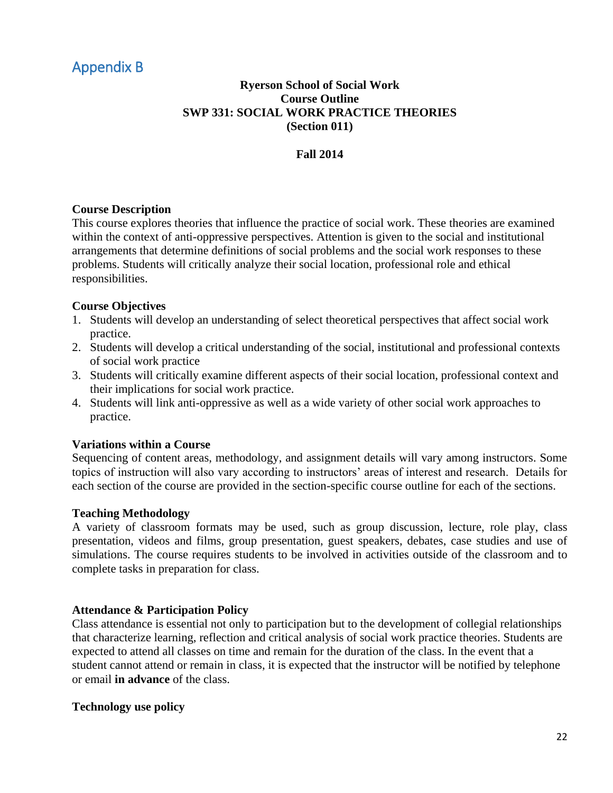# <span id="page-20-0"></span>Appendix B

# **Ryerson School of Social Work Course Outline SWP 331: SOCIAL WORK PRACTICE THEORIES (Section 011)**

# **Fall 2014**

### **Course Description**

This course explores theories that influence the practice of social work. These theories are examined within the context of anti-oppressive perspectives. Attention is given to the social and institutional arrangements that determine definitions of social problems and the social work responses to these problems. Students will critically analyze their social location, professional role and ethical responsibilities.

### **Course Objectives**

- 1. Students will develop an understanding of select theoretical perspectives that affect social work practice.
- 2. Students will develop a critical understanding of the social, institutional and professional contexts of social work practice
- 3. Students will critically examine different aspects of their social location, professional context and their implications for social work practice.
- 4. Students will link anti-oppressive as well as a wide variety of other social work approaches to practice.

### **Variations within a Course**

Sequencing of content areas, methodology, and assignment details will vary among instructors. Some topics of instruction will also vary according to instructors' areas of interest and research. Details for each section of the course are provided in the section-specific course outline for each of the sections.

### **Teaching Methodology**

A variety of classroom formats may be used, such as group discussion, lecture, role play, class presentation, videos and films, group presentation, guest speakers, debates, case studies and use of simulations. The course requires students to be involved in activities outside of the classroom and to complete tasks in preparation for class.

### **Attendance & Participation Policy**

Class attendance is essential not only to participation but to the development of collegial relationships that characterize learning, reflection and critical analysis of social work practice theories. Students are expected to attend all classes on time and remain for the duration of the class. In the event that a student cannot attend or remain in class, it is expected that the instructor will be notified by telephone or email **in advance** of the class.

### **Technology use policy**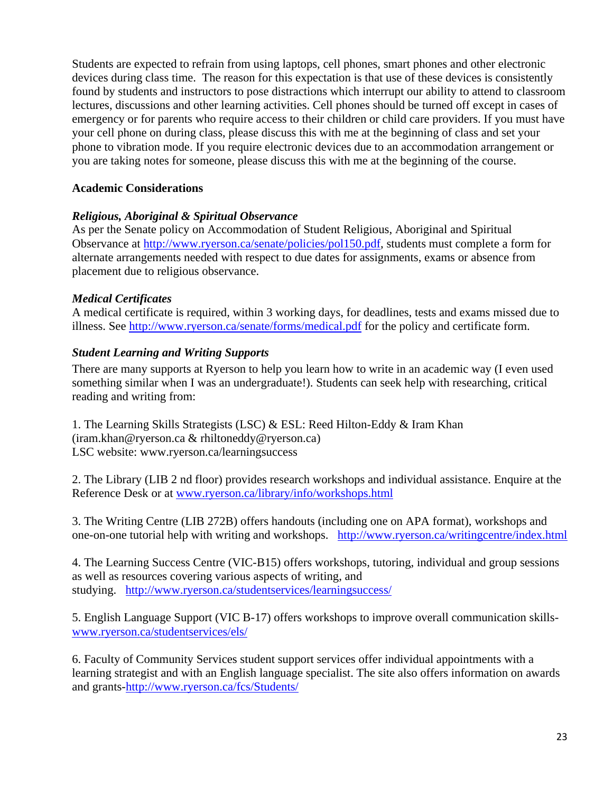Students are expected to refrain from using laptops, cell phones, smart phones and other electronic devices during class time. The reason for this expectation is that use of these devices is consistently found by students and instructors to pose distractions which interrupt our ability to attend to classroom lectures, discussions and other learning activities. Cell phones should be turned off except in cases of emergency or for parents who require access to their children or child care providers. If you must have your cell phone on during class, please discuss this with me at the beginning of class and set your phone to vibration mode. If you require electronic devices due to an accommodation arrangement or you are taking notes for someone, please discuss this with me at the beginning of the course.

# **Academic Considerations**

# *Religious, Aboriginal & Spiritual Observance*

As per the Senate policy on Accommodation of Student Religious, Aboriginal and Spiritual Observance at [http://www.ryerson.ca/senate/policies/pol150.pdf,](http://www.ryerson.ca/senate/policies/pol150.pdf) students must complete a form for alternate arrangements needed with respect to due dates for assignments, exams or absence from placement due to religious observance.

# *Medical Certificates*

A medical certificate is required, within 3 working days, for deadlines, tests and exams missed due to illness. See<http://www.ryerson.ca/senate/forms/medical.pdf> for the policy and certificate form.

# *Student Learning and Writing Supports*

There are many supports at Ryerson to help you learn how to write in an academic way (I even used something similar when I was an undergraduate!). Students can seek help with researching, critical reading and writing from:

1. The Learning Skills Strategists (LSC) & ESL: Reed Hilton-Eddy & Iram Khan (iram.khan@ryerson.ca & rhiltoneddy@ryerson.ca) LSC website: www.ryerson.ca/learningsuccess

2. The Library (LIB 2 nd floor) provides research workshops and individual assistance. Enquire at the Reference Desk or at [www.ryerson.ca/library/info/workshops.html](http://www.ryerson.ca/library/info/workshops.html)

3. The Writing Centre (LIB 272B) offers handouts (including one on APA format), workshops and one-on-one tutorial help with writing and workshops. <http://www.ryerson.ca/writingcentre/index.html>

4. The Learning Success Centre (VIC-B15) offers workshops, tutoring, individual and group sessions as well as resources covering various aspects of writing, and studying. <http://www.ryerson.ca/studentservices/learningsuccess/>

5. English Language Support (VIC B-17) offers workshops to improve overall communication skills[www.ryerson.ca/studentservices/els/](http://www.ryerson.ca/studentservices/els/)

6. Faculty of Community Services student support services offer individual appointments with a learning strategist and with an English language specialist. The site also offers information on awards and grants[-http://www.ryerson.ca/fcs/Students/](http://www.ryerson.ca/fcs/Students/)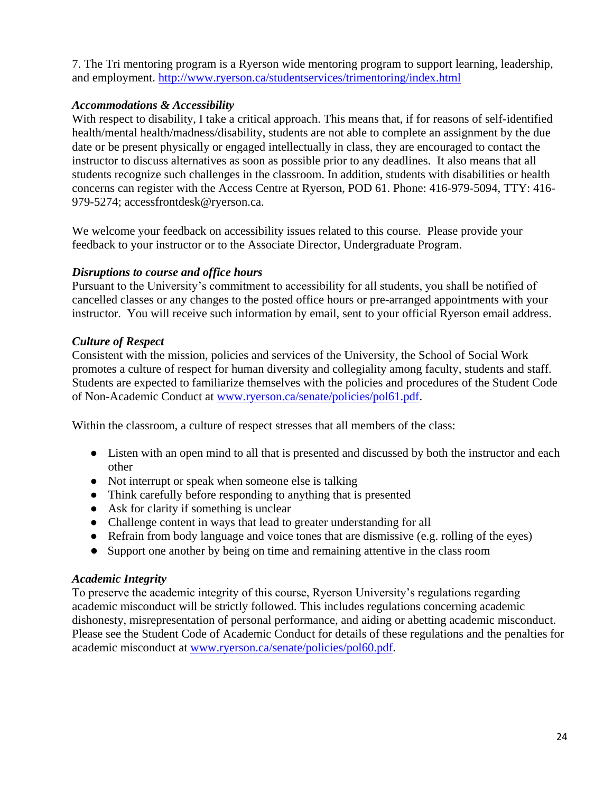7. The Tri mentoring program is a Ryerson wide mentoring program to support learning, leadership, and employment.<http://www.ryerson.ca/studentservices/trimentoring/index.html>

# *Accommodations & Accessibility*

With respect to disability, I take a critical approach. This means that, if for reasons of self-identified health/mental health/madness/disability, students are not able to complete an assignment by the due date or be present physically or engaged intellectually in class, they are encouraged to contact the instructor to discuss alternatives as soon as possible prior to any deadlines. It also means that all students recognize such challenges in the classroom. In addition, students with disabilities or health concerns can register with the Access Centre at Ryerson, POD 61. Phone: 416-979-5094, TTY: 416- 979-5274; accessfrontdesk@ryerson.ca.

We welcome your feedback on accessibility issues related to this course. Please provide your feedback to your instructor or to the Associate Director, Undergraduate Program.

# *Disruptions to course and office hours*

Pursuant to the University's commitment to accessibility for all students, you shall be notified of cancelled classes or any changes to the posted office hours or pre-arranged appointments with your instructor. You will receive such information by email, sent to your official Ryerson email address.

# *Culture of Respect*

Consistent with the mission, policies and services of the University, the School of Social Work promotes a culture of respect for human diversity and collegiality among faculty, students and staff. Students are expected to familiarize themselves with the policies and procedures of the Student Code of Non-Academic Conduct at [www.ryerson.ca/senate/policies/pol61.pdf.](http://www.ryerson.ca/senate/policies/pol61.pdf)

Within the classroom, a culture of respect stresses that all members of the class:

- Listen with an open mind to all that is presented and discussed by both the instructor and each other
- Not interrupt or speak when someone else is talking
- Think carefully before responding to anything that is presented
- Ask for clarity if something is unclear
- Challenge content in ways that lead to greater understanding for all
- Refrain from body language and voice tones that are dismissive (e.g. rolling of the eyes)
- Support one another by being on time and remaining attentive in the class room

# *Academic Integrity*

To preserve the academic integrity of this course, Ryerson University's regulations regarding academic misconduct will be strictly followed. This includes regulations concerning academic dishonesty, misrepresentation of personal performance, and aiding or abetting academic misconduct. Please see the Student Code of Academic Conduct for details of these regulations and the penalties for academic misconduct at [www.ryerson.ca/senate/policies/pol60.pdf.](http://www.ryerson.ca/senate/policies/pol60.pdf)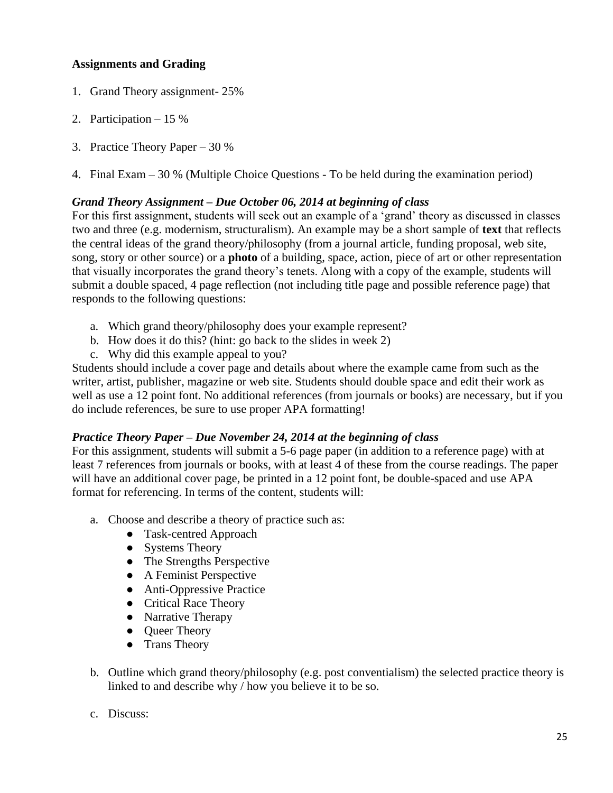# **Assignments and Grading**

- 1. Grand Theory assignment- 25%
- 2. Participation 15 %
- 3. Practice Theory Paper 30 %
- 4. Final Exam 30 % (Multiple Choice Questions To be held during the examination period)

### *Grand Theory Assignment – Due October 06, 2014 at beginning of class*

For this first assignment, students will seek out an example of a 'grand' theory as discussed in classes two and three (e.g. modernism, structuralism). An example may be a short sample of **text** that reflects the central ideas of the grand theory/philosophy (from a journal article, funding proposal, web site, song, story or other source) or a **photo** of a building, space, action, piece of art or other representation that visually incorporates the grand theory's tenets. Along with a copy of the example, students will submit a double spaced, 4 page reflection (not including title page and possible reference page) that responds to the following questions:

- a. Which grand theory/philosophy does your example represent?
- b. How does it do this? (hint: go back to the slides in week 2)
- c. Why did this example appeal to you?

Students should include a cover page and details about where the example came from such as the writer, artist, publisher, magazine or web site. Students should double space and edit their work as well as use a 12 point font. No additional references (from journals or books) are necessary, but if you do include references, be sure to use proper APA formatting!

### *Practice Theory Paper – Due November 24, 2014 at the beginning of class*

For this assignment, students will submit a 5-6 page paper (in addition to a reference page) with at least 7 references from journals or books, with at least 4 of these from the course readings. The paper will have an additional cover page, be printed in a 12 point font, be double-spaced and use APA format for referencing. In terms of the content, students will:

- a. Choose and describe a theory of practice such as:
	- Task-centred Approach
	- Systems Theory
	- The Strengths Perspective
	- A Feminist Perspective
	- Anti-Oppressive Practice
	- Critical Race Theory
	- Narrative Therapy
	- Oueer Theory
	- Trans Theory
- b. Outline which grand theory/philosophy (e.g. post conventialism) the selected practice theory is linked to and describe why / how you believe it to be so.
- c. Discuss: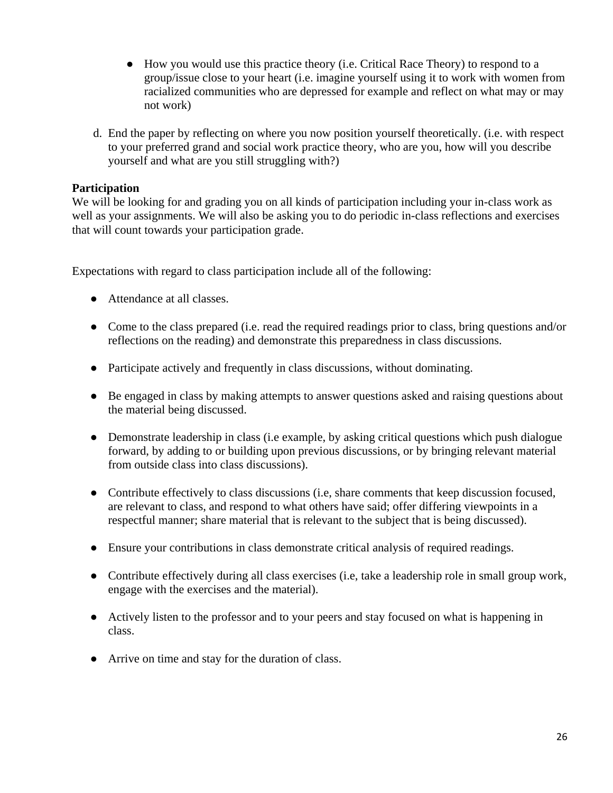- How you would use this practice theory (i.e. Critical Race Theory) to respond to a group/issue close to your heart (i.e. imagine yourself using it to work with women from racialized communities who are depressed for example and reflect on what may or may not work)
- d. End the paper by reflecting on where you now position yourself theoretically. (i.e. with respect to your preferred grand and social work practice theory, who are you, how will you describe yourself and what are you still struggling with?)

# **Participation**

We will be looking for and grading you on all kinds of participation including your in-class work as well as your assignments. We will also be asking you to do periodic in-class reflections and exercises that will count towards your participation grade.

Expectations with regard to class participation include all of the following:

- Attendance at all classes.
- Come to the class prepared (i.e. read the required readings prior to class, bring questions and/or reflections on the reading) and demonstrate this preparedness in class discussions.
- Participate actively and frequently in class discussions, without dominating.
- Be engaged in class by making attempts to answer questions asked and raising questions about the material being discussed.
- Demonstrate leadership in class (i.e example, by asking critical questions which push dialogue forward, by adding to or building upon previous discussions, or by bringing relevant material from outside class into class discussions).
- Contribute effectively to class discussions (i.e, share comments that keep discussion focused, are relevant to class, and respond to what others have said; offer differing viewpoints in a respectful manner; share material that is relevant to the subject that is being discussed).
- Ensure your contributions in class demonstrate critical analysis of required readings.
- Contribute effectively during all class exercises (i.e, take a leadership role in small group work, engage with the exercises and the material).
- Actively listen to the professor and to your peers and stay focused on what is happening in class.
- Arrive on time and stay for the duration of class.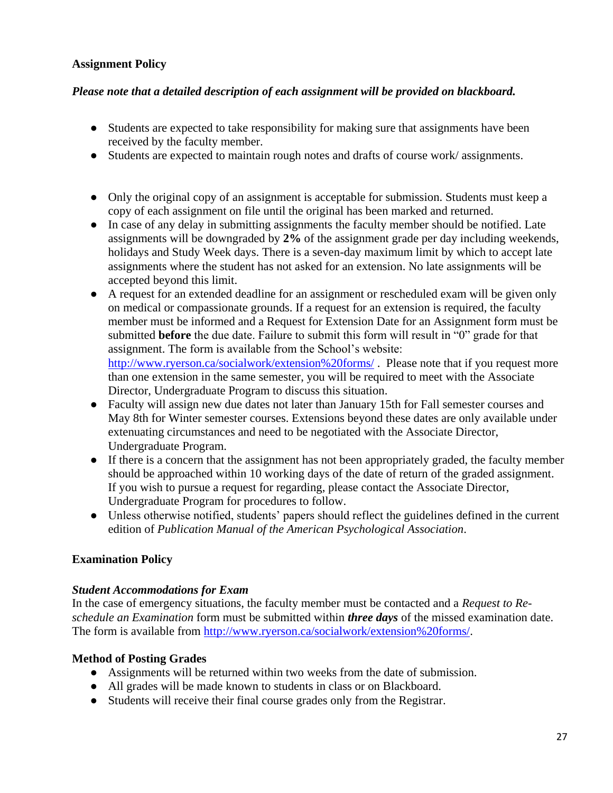# **Assignment Policy**

# *Please note that a detailed description of each assignment will be provided on blackboard.*

- Students are expected to take responsibility for making sure that assignments have been received by the faculty member.
- Students are expected to maintain rough notes and drafts of course work/ assignments.
- Only the original copy of an assignment is acceptable for submission. Students must keep a copy of each assignment on file until the original has been marked and returned.
- In case of any delay in submitting assignments the faculty member should be notified. Late assignments will be downgraded by **2%** of the assignment grade per day including weekends, holidays and Study Week days. There is a seven-day maximum limit by which to accept late assignments where the student has not asked for an extension. No late assignments will be accepted beyond this limit.
- A request for an extended deadline for an assignment or rescheduled exam will be given only on medical or compassionate grounds. If a request for an extension is required, the faculty member must be informed and a Request for Extension Date for an Assignment form must be submitted **before** the due date. Failure to submit this form will result in "0" grade for that assignment. The form is available from the School's website: <http://www.ryerson.ca/socialwork/extension%20forms/>. Please note that if you request more than one extension in the same semester, you will be required to meet with the Associate Director, Undergraduate Program to discuss this situation.
- Faculty will assign new due dates not later than January 15th for Fall semester courses and May 8th for Winter semester courses. Extensions beyond these dates are only available under extenuating circumstances and need to be negotiated with the Associate Director, Undergraduate Program.
- If there is a concern that the assignment has not been appropriately graded, the faculty member should be approached within 10 working days of the date of return of the graded assignment. If you wish to pursue a request for regarding, please contact the Associate Director, Undergraduate Program for procedures to follow.
- Unless otherwise notified, students' papers should reflect the guidelines defined in the current edition of *Publication Manual of the American Psychological Association*.

# **Examination Policy**

# *Student Accommodations for Exam*

In the case of emergency situations, the faculty member must be contacted and a *Request to Reschedule an Examination* form must be submitted within *three days* of the missed examination date. The form is available from [http://www.ryerson.ca/socialwork/extension%20forms/.](http://www.ryerson.ca/socialwork/extension%20forms/)

# **Method of Posting Grades**

- Assignments will be returned within two weeks from the date of submission.
- All grades will be made known to students in class or on Blackboard.
- Students will receive their final course grades only from the Registrar.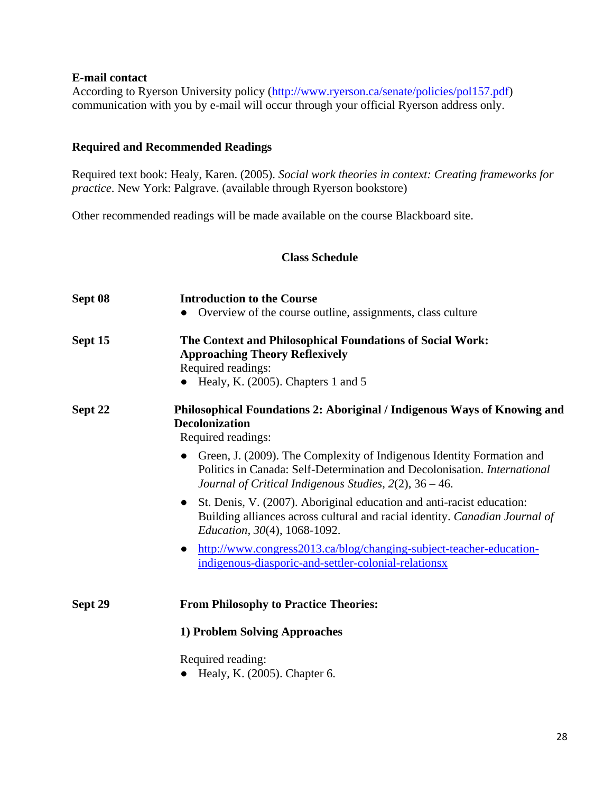### **E-mail contact**

According to Ryerson University policy [\(http://www.ryerson.ca/senate/policies/pol157.pdf\)](http://www.ryerson.ca/senate/policies/pol157.pdf) communication with you by e-mail will occur through your official Ryerson address only.

# **Required and Recommended Readings**

Required text book: Healy, Karen. (2005). *Social work theories in context: Creating frameworks for practice*. New York: Palgrave. (available through Ryerson bookstore)

Other recommended readings will be made available on the course Blackboard site.

### **Class Schedule**

| Sept 08 | <b>Introduction to the Course</b><br>Overview of the course outline, assignments, class culture                                                                                                                                       |
|---------|---------------------------------------------------------------------------------------------------------------------------------------------------------------------------------------------------------------------------------------|
| Sept 15 | The Context and Philosophical Foundations of Social Work:<br><b>Approaching Theory Reflexively</b><br>Required readings:<br>Healy, K. (2005). Chapters 1 and 5                                                                        |
| Sept 22 | Philosophical Foundations 2: Aboriginal / Indigenous Ways of Knowing and<br><b>Decolonization</b><br>Required readings:                                                                                                               |
|         | Green, J. (2009). The Complexity of Indigenous Identity Formation and<br>$\bullet$<br>Politics in Canada: Self-Determination and Decolonisation. <i>International</i><br>Journal of Critical Indigenous Studies, $2(2)$ , $36 - 46$ . |
|         | St. Denis, V. (2007). Aboriginal education and anti-racist education:<br>Building alliances across cultural and racial identity. Canadian Journal of<br><i>Education, 30(4), 1068-1092.</i>                                           |
|         | http://www.congress2013.ca/blog/changing-subject-teacher-education-<br>indigenous-diasporic-and-settler-colonial-relationsx                                                                                                           |
| Sept 29 | <b>From Philosophy to Practice Theories:</b>                                                                                                                                                                                          |
|         | 1) Problem Solving Approaches                                                                                                                                                                                                         |
|         | Required reading:<br>Healy, K. (2005). Chapter 6.                                                                                                                                                                                     |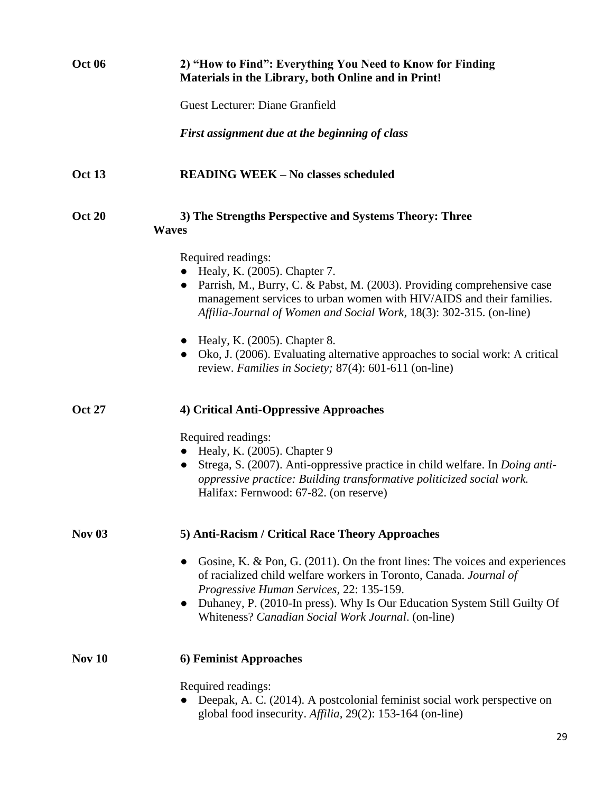| <b>Oct 06</b> | 2) "How to Find": Everything You Need to Know for Finding<br>Materials in the Library, both Online and in Print!                                                                                                                                                                                                                                                                                                                                                |
|---------------|-----------------------------------------------------------------------------------------------------------------------------------------------------------------------------------------------------------------------------------------------------------------------------------------------------------------------------------------------------------------------------------------------------------------------------------------------------------------|
|               | <b>Guest Lecturer: Diane Granfield</b>                                                                                                                                                                                                                                                                                                                                                                                                                          |
|               | First assignment due at the beginning of class                                                                                                                                                                                                                                                                                                                                                                                                                  |
| Oct 13        | <b>READING WEEK - No classes scheduled</b>                                                                                                                                                                                                                                                                                                                                                                                                                      |
| <b>Oct 20</b> | 3) The Strengths Perspective and Systems Theory: Three<br><b>Waves</b>                                                                                                                                                                                                                                                                                                                                                                                          |
|               | Required readings:<br>Healy, K. (2005). Chapter 7.<br>Parrish, M., Burry, C. & Pabst, M. (2003). Providing comprehensive case<br>management services to urban women with HIV/AIDS and their families.<br>Affilia-Journal of Women and Social Work, 18(3): 302-315. (on-line)<br>$\bullet$ Healy, K. (2005). Chapter 8.<br>Oko, J. (2006). Evaluating alternative approaches to social work: A critical<br>review. Families in Society; 87(4): 601-611 (on-line) |
| <b>Oct 27</b> | 4) Critical Anti-Oppressive Approaches<br>Required readings:<br>$\bullet$ Healy, K. (2005). Chapter 9<br>Strega, S. (2007). Anti-oppressive practice in child welfare. In <i>Doing anti-</i><br>oppressive practice: Building transformative politicized social work.<br>Halifax: Fernwood: 67-82. (on reserve)                                                                                                                                                 |
| <b>Nov 03</b> | 5) Anti-Racism / Critical Race Theory Approaches<br>Gosine, K. & Pon, G. (2011). On the front lines: The voices and experiences<br>of racialized child welfare workers in Toronto, Canada. Journal of<br>Progressive Human Services, 22: 135-159.<br>• Duhaney, P. (2010-In press). Why Is Our Education System Still Guilty Of<br>Whiteness? Canadian Social Work Journal. (on-line)                                                                           |
| Nov $10$      | 6) Feminist Approaches<br>Required readings:<br>Deepak, A. C. (2014). A postcolonial feminist social work perspective on<br>global food insecurity. Affilia, 29(2): 153-164 (on-line)                                                                                                                                                                                                                                                                           |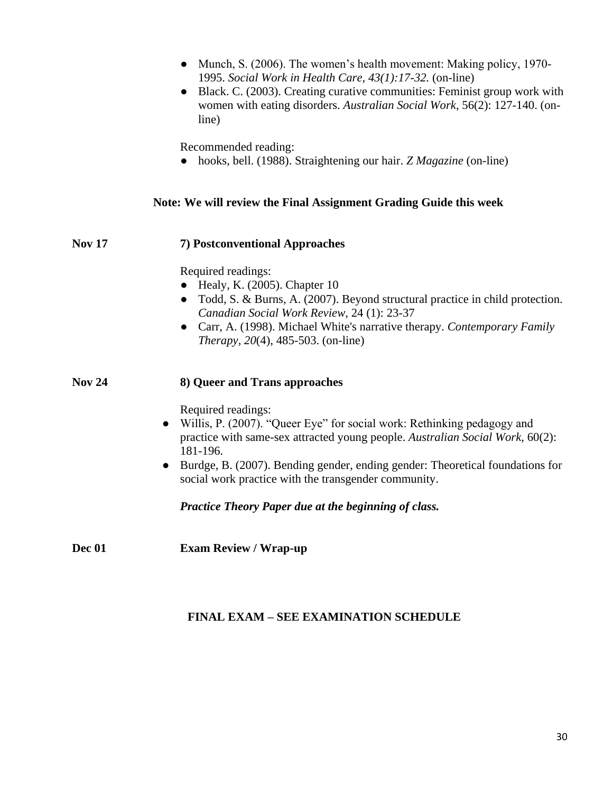|               | • Munch, S. (2006). The women's health movement: Making policy, 1970-<br>1995. Social Work in Health Care, 43(1):17-32. (on-line)<br>Black. C. (2003). Creating curative communities: Feminist group work with<br>women with eating disorders. Australian Social Work, 56(2): 127-140. (on-<br>line)                    |
|---------------|-------------------------------------------------------------------------------------------------------------------------------------------------------------------------------------------------------------------------------------------------------------------------------------------------------------------------|
|               | Recommended reading:<br>• hooks, bell. (1988). Straightening our hair. Z Magazine (on-line)                                                                                                                                                                                                                             |
|               | Note: We will review the Final Assignment Grading Guide this week                                                                                                                                                                                                                                                       |
| <b>Nov 17</b> | 7) Postconventional Approaches                                                                                                                                                                                                                                                                                          |
|               | Required readings:<br>$\bullet$ Healy, K. (2005). Chapter 10<br>• Todd, S. & Burns, A. (2007). Beyond structural practice in child protection.<br>Canadian Social Work Review, 24 (1): 23-37<br>• Carr, A. (1998). Michael White's narrative therapy. Contemporary Family<br><i>Therapy</i> , 20(4), 485-503. (on-line) |
| <b>Nov 24</b> | 8) Queer and Trans approaches<br>Required readings:                                                                                                                                                                                                                                                                     |
|               | Willis, P. (2007). "Queer Eye" for social work: Rethinking pedagogy and<br>$\bullet$<br>practice with same-sex attracted young people. Australian Social Work, 60(2):<br>181-196.                                                                                                                                       |
|               | Burdge, B. (2007). Bending gender, ending gender: Theoretical foundations for<br>$\bullet$<br>social work practice with the transgender community.                                                                                                                                                                      |
|               | Practice Theory Paper due at the beginning of class.                                                                                                                                                                                                                                                                    |
| Dec 01        | <b>Exam Review / Wrap-up</b>                                                                                                                                                                                                                                                                                            |

# **FINAL EXAM – SEE EXAMINATION SCHEDULE**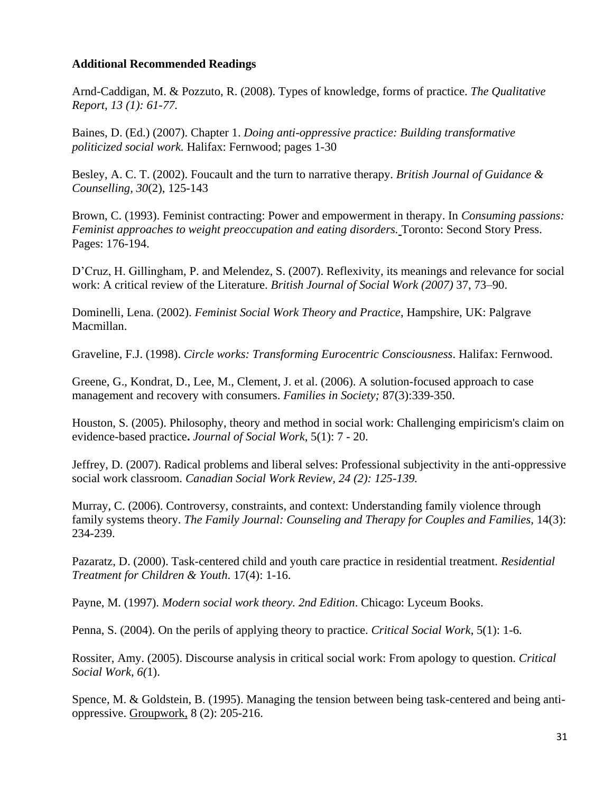# **Additional Recommended Readings**

Arnd-Caddigan, M. & Pozzuto, R. (2008). Types of knowledge, forms of practice. *The Qualitative Report, 13 (1): 61-77.* 

Baines, D. (Ed.) (2007). Chapter 1. *Doing anti-oppressive practice: Building transformative politicized social work.* Halifax: Fernwood; pages 1-30

Besley, A. C. T. (2002). Foucault and the turn to narrative therapy. *British Journal of Guidance & Counselling, 30*(2), 125-143

Brown, C. (1993). Feminist contracting: Power and empowerment in therapy. In *Consuming passions: Feminist approaches to weight preoccupation and eating disorders.* Toronto: Second Story Press. Pages: 176-194.

D'Cruz, H. Gillingham, P. and Melendez, S. (2007). Reflexivity, its meanings and relevance for social work: A critical review of the Literature. *British Journal of Social Work (2007)* 37, 73–90.

Dominelli, Lena. (2002). *Feminist Social Work Theory and Practice*, Hampshire, UK: Palgrave Macmillan.

Graveline, F.J. (1998). *Circle works: Transforming Eurocentric Consciousness*. Halifax: Fernwood.

Greene, G., Kondrat, D., Lee, M., Clement, J. et al. (2006). A solution-focused approach to case management and recovery with consumers. *Families in Society;* 87(3):339-350.

Houston, S. (2005). Philosophy, theory and method in social work: Challenging empiricism's claim on evidence-based practice**.** *Journal of Social Work*, 5(1): 7 - 20.

Jeffrey, D. (2007). Radical problems and liberal selves: Professional subjectivity in the anti-oppressive social work classroom. *Canadian Social Work Review, 24 (2): 125-139.*

Murray, C. (2006). Controversy, constraints, and context: Understanding family violence through family systems theory. *The Family Journal: Counseling and Therapy for Couples and Families,* 14(3): 234-239.

Pazaratz, D. (2000). Task-centered child and youth care practice in residential treatment. *Residential Treatment for Children & Youth*. 17(4): 1-16.

Payne, M. (1997). *Modern social work theory. 2nd Edition*. Chicago: Lyceum Books.

Penna, S. (2004). On the perils of applying theory to practice. *Critical Social Work*, 5(1): 1-6.

Rossiter, Amy. (2005). Discourse analysis in critical social work: From apology to question. *Critical Social Work, 6(*1).

[Spence, M.](http://search1.scholarsportal.info/ids70/p_search_form.php?field=au&query=spence+marcia+francis&log=literal&SID=8cc9e63e2aedfe0720c68dc5131fd8f1) & [Goldstein, B.](http://search1.scholarsportal.info/ids70/p_search_form.php?field=au&query=goldstein+beverley+prevatt&log=literal&SID=8cc9e63e2aedfe0720c68dc5131fd8f1) (1995). Managing the tension between being task-centered and being antioppressive. Groupwork, 8 (2): 205-216.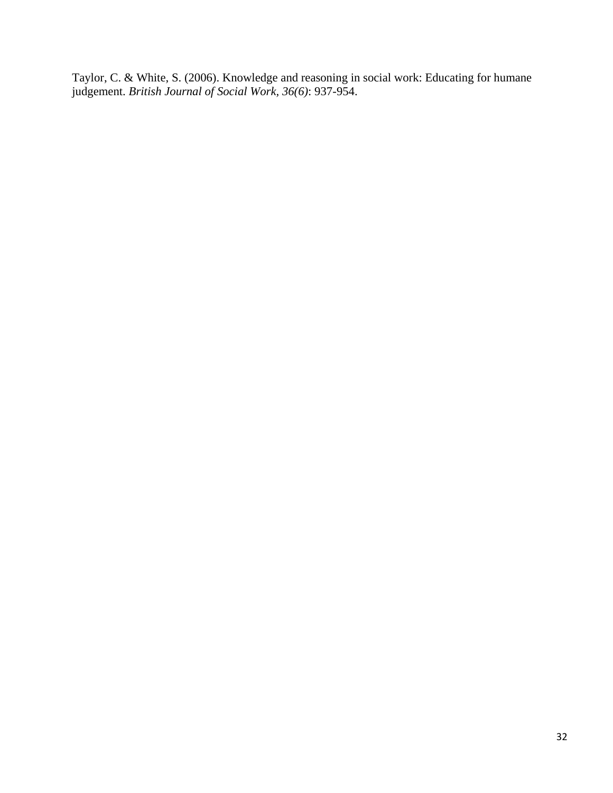Taylor, C. & White, S. (2006). Knowledge and reasoning in social work: Educating for humane judgement. *British Journal of Social Work, 36(6)*: 937-954.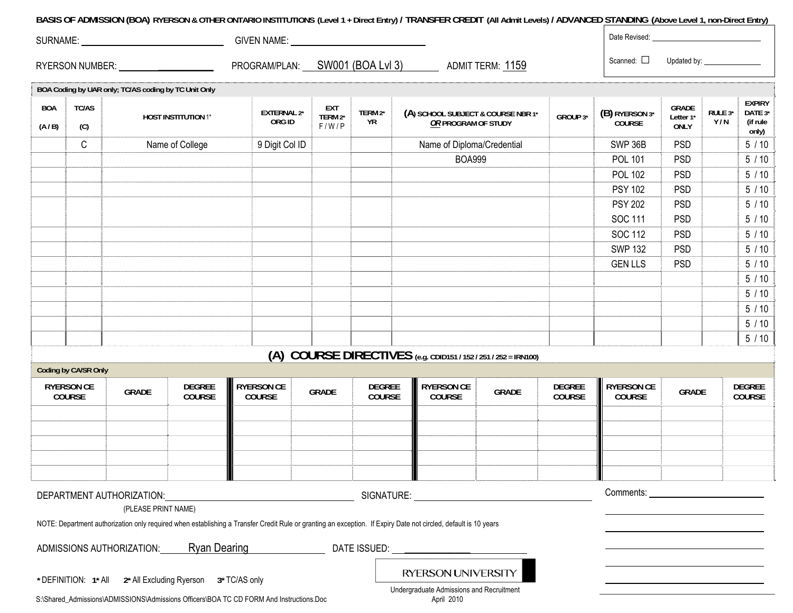### **BASIS OF ADMISSION (BOA) RYERSON & OTHER ONTARIO INSTITUTIONS (Level 1 + Direct Entry) / TRANSFER CREDIT (All Admit Levels) / ADVANCED STANDING (Above Level 1, non-Direct Entry)**

| <b>SURNAME:</b>        | <b>GIVEN NAME:</b> |                   |                            | Date Revised: |             |
|------------------------|--------------------|-------------------|----------------------------|---------------|-------------|
| <b>RYERSON NUMBER:</b> | PROGRAM/PLAN:      | SW001 (BOA Lvl 3) | 1159<br><b>ADMIT TERM:</b> | Scanned:<br>╌ | Jpdated bv. |

|                     |                             | BOA Coding by UAR only; TC/AS coding by TC Unit Only        |                            |                                                                                         |                                |                         |                                                                                                                                                                 |              |                         |                                    |                                          |                |                                               |
|---------------------|-----------------------------|-------------------------------------------------------------|----------------------------|-----------------------------------------------------------------------------------------|--------------------------------|-------------------------|-----------------------------------------------------------------------------------------------------------------------------------------------------------------|--------------|-------------------------|------------------------------------|------------------------------------------|----------------|-----------------------------------------------|
| <b>BOA</b><br>(A/B) | <b>TC/AS</b><br>(C)         |                                                             | <b>HOST INSTITUTION 1*</b> | <b>EXTERNAL 2*</b><br>ORG ID                                                            | <b>EXT</b><br>TERM 2*<br>F/W/P | TERM 2*<br>YR           | (A) SCHOOL SUBJECT & COURSE NBR 1*<br>OR PROGRAM OF STUDY                                                                                                       |              | GROUP 3*                | (B) RYERSON 3*<br>COURSE           | <b>GRADE</b><br>Letter 1*<br><b>ONLY</b> | RULE 3*<br>Y/N | <b>EXPIRY</b><br>DATE 3*<br>(if rule<br>only) |
|                     | $\mathsf C$                 |                                                             | Name of College            | 9 Digit Col ID                                                                          |                                |                         | Name of Diploma/Credential                                                                                                                                      |              |                         | SWP 36B                            | <b>PSD</b>                               |                | $5/10$                                        |
|                     |                             |                                                             |                            |                                                                                         |                                |                         | <b>BOA999</b>                                                                                                                                                   |              |                         | <b>POL 101</b>                     | <b>PSD</b>                               |                | $5/10$                                        |
|                     |                             |                                                             |                            |                                                                                         |                                |                         |                                                                                                                                                                 |              |                         | <b>POL 102</b>                     | <b>PSD</b>                               |                | $5/10$                                        |
|                     |                             |                                                             |                            |                                                                                         |                                |                         |                                                                                                                                                                 |              |                         | <b>PSY 102</b>                     | <b>PSD</b>                               |                | $5/10$                                        |
|                     |                             |                                                             |                            |                                                                                         |                                |                         |                                                                                                                                                                 |              |                         | <b>PSY 202</b>                     | <b>PSD</b>                               |                | $5/10$                                        |
|                     |                             |                                                             |                            |                                                                                         |                                |                         |                                                                                                                                                                 |              |                         | SOC 111                            | <b>PSD</b>                               |                | $5/10$                                        |
|                     |                             |                                                             |                            |                                                                                         |                                |                         |                                                                                                                                                                 |              |                         | <b>SOC 112</b>                     | <b>PSD</b>                               |                | $5/10$                                        |
|                     |                             |                                                             |                            |                                                                                         |                                |                         |                                                                                                                                                                 |              |                         | <b>SWP 132</b>                     | <b>PSD</b>                               |                | $5/10$                                        |
|                     |                             |                                                             |                            |                                                                                         |                                |                         |                                                                                                                                                                 |              |                         | <b>GEN LLS</b>                     | <b>PSD</b>                               |                | $5/10$                                        |
|                     |                             |                                                             |                            |                                                                                         |                                |                         |                                                                                                                                                                 |              |                         |                                    |                                          |                | $5/10$                                        |
|                     |                             |                                                             |                            |                                                                                         |                                |                         |                                                                                                                                                                 |              |                         |                                    |                                          |                | $5/10$                                        |
|                     |                             |                                                             |                            |                                                                                         |                                |                         |                                                                                                                                                                 |              |                         |                                    |                                          |                | $5/10$                                        |
|                     |                             |                                                             |                            |                                                                                         |                                |                         |                                                                                                                                                                 |              |                         |                                    |                                          |                | $5/10$                                        |
|                     |                             |                                                             |                            |                                                                                         |                                |                         |                                                                                                                                                                 |              |                         |                                    |                                          |                | $5/10$                                        |
|                     |                             |                                                             |                            |                                                                                         |                                |                         | (A) COURSE DIRECTIVES (e.g. CDID151 / 152 / 251 / 252 = IRN100)                                                                                                 |              |                         |                                    |                                          |                |                                               |
|                     | Coding by CA/SR Only        |                                                             |                            |                                                                                         |                                |                         |                                                                                                                                                                 |              |                         |                                    |                                          |                |                                               |
|                     | <b>RYERSON CE</b><br>COURSE | <b>GRADE</b>                                                | <b>DEGREE</b><br>COURSE    | <b>RYERSON CE</b><br><b>COURSE</b>                                                      | <b>GRADE</b>                   | <b>DEGREE</b><br>COURSE | <b>RYERSON CE</b><br>COURSE                                                                                                                                     | <b>GRADE</b> | <b>DEGREE</b><br>COURSE | <b>RYERSON CE</b><br><b>COURSE</b> | GRADE                                    |                | <b>DEGREE</b><br>COURSE                       |
|                     |                             |                                                             |                            |                                                                                         |                                |                         |                                                                                                                                                                 |              |                         |                                    |                                          |                |                                               |
|                     |                             |                                                             |                            |                                                                                         |                                |                         |                                                                                                                                                                 |              |                         |                                    |                                          |                |                                               |
|                     |                             |                                                             |                            |                                                                                         |                                |                         |                                                                                                                                                                 |              |                         |                                    |                                          |                |                                               |
|                     |                             |                                                             |                            |                                                                                         |                                |                         |                                                                                                                                                                 |              |                         |                                    |                                          |                |                                               |
|                     |                             |                                                             |                            |                                                                                         |                                |                         |                                                                                                                                                                 |              |                         |                                    |                                          |                |                                               |
|                     |                             | DEPARTMENT AUTHORIZATION:                                   |                            | <b>SIGNATURE:</b>                                                                       |                                |                         |                                                                                                                                                                 |              |                         |                                    |                                          |                |                                               |
|                     |                             | (PLEASE PRINT NAME)                                         |                            |                                                                                         |                                |                         |                                                                                                                                                                 |              |                         |                                    |                                          |                |                                               |
|                     |                             |                                                             |                            |                                                                                         |                                |                         | NOTE: Department authorization only required when establishing a Transfer Credit Rule or granting an exception. If Expiry Date not circled, default is 10 years |              |                         |                                    |                                          |                |                                               |
|                     |                             |                                                             |                            |                                                                                         |                                |                         | ADMISSIONS AUTHORIZATION: Ryan Dearing DATE ISSUED:                                                                                                             |              |                         |                                    |                                          |                |                                               |
|                     |                             | * DEFINITION: 1* All 2* All Excluding Ryerson 3* TC/AS only |                            |                                                                                         |                                |                         | RYERSON UNIVERSITY                                                                                                                                              |              |                         |                                    |                                          |                |                                               |
|                     |                             |                                                             |                            | S:\Shared_Admissions\ADMISSIONS\Admissions Officers\BOA TC CD FORM And Instructions.Doc |                                |                         | Undergraduate Admissions and Recruitment<br>April 2010                                                                                                          |              |                         |                                    |                                          |                |                                               |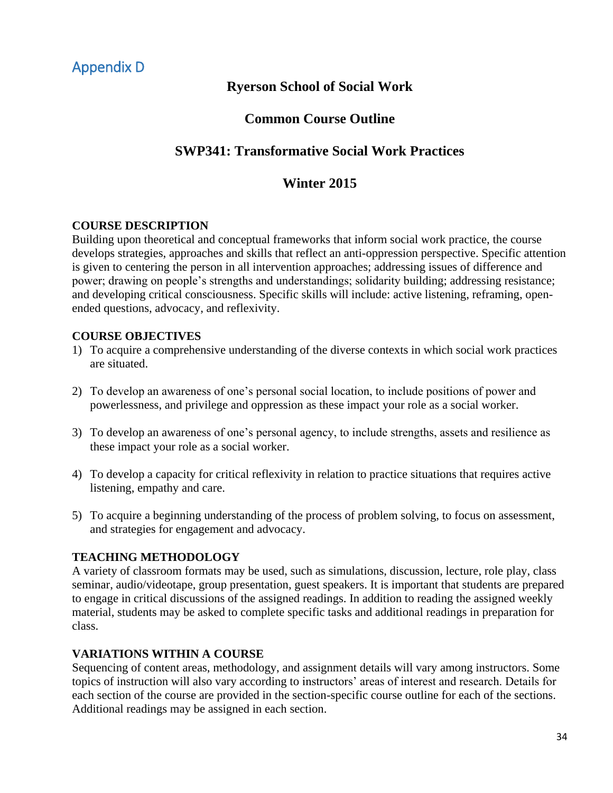# **Ryerson School of Social Work**

# **Common Course Outline**

# <span id="page-32-0"></span>**SWP341: Transformative Social Work Practices**

# **Winter 2015**

# **COURSE DESCRIPTION**

Building upon theoretical and conceptual frameworks that inform social work practice, the course develops strategies, approaches and skills that reflect an anti-oppression perspective. Specific attention is given to centering the person in all intervention approaches; addressing issues of difference and power; drawing on people's strengths and understandings; solidarity building; addressing resistance; and developing critical consciousness. Specific skills will include: active listening, reframing, openended questions, advocacy, and reflexivity.

# **COURSE OBJECTIVES**

- 1) To acquire a comprehensive understanding of the diverse contexts in which social work practices are situated.
- 2) To develop an awareness of one's personal social location, to include positions of power and powerlessness, and privilege and oppression as these impact your role as a social worker.
- 3) To develop an awareness of one's personal agency, to include strengths, assets and resilience as these impact your role as a social worker.
- 4) To develop a capacity for critical reflexivity in relation to practice situations that requires active listening, empathy and care.
- 5) To acquire a beginning understanding of the process of problem solving, to focus on assessment, and strategies for engagement and advocacy.

# **TEACHING METHODOLOGY**

A variety of classroom formats may be used, such as simulations, discussion, lecture, role play, class seminar, audio/videotape, group presentation, guest speakers. It is important that students are prepared to engage in critical discussions of the assigned readings. In addition to reading the assigned weekly material, students may be asked to complete specific tasks and additional readings in preparation for class.

# **VARIATIONS WITHIN A COURSE**

Sequencing of content areas, methodology, and assignment details will vary among instructors. Some topics of instruction will also vary according to instructors' areas of interest and research. Details for each section of the course are provided in the section-specific course outline for each of the sections. Additional readings may be assigned in each section.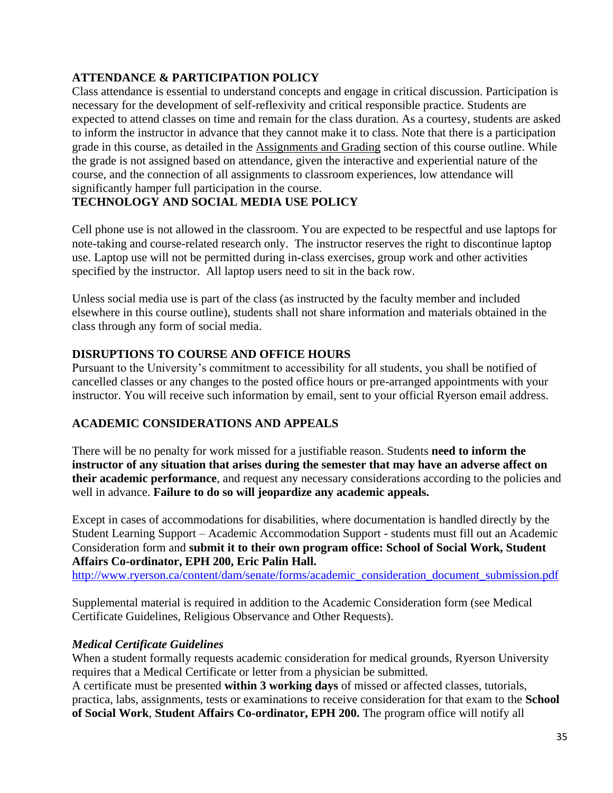# **ATTENDANCE & PARTICIPATION POLICY**

Class attendance is essential to understand concepts and engage in critical discussion. Participation is necessary for the development of self-reflexivity and critical responsible practice. Students are expected to attend classes on time and remain for the class duration. As a courtesy, students are asked to inform the instructor in advance that they cannot make it to class. Note that there is a participation grade in this course, as detailed in the Assignments and Grading section of this course outline. While the grade is not assigned based on attendance, given the interactive and experiential nature of the course, and the connection of all assignments to classroom experiences, low attendance will significantly hamper full participation in the course.

# **TECHNOLOGY AND SOCIAL MEDIA USE POLICY**

Cell phone use is not allowed in the classroom. You are expected to be respectful and use laptops for note-taking and course-related research only. The instructor reserves the right to discontinue laptop use. Laptop use will not be permitted during in-class exercises, group work and other activities specified by the instructor. All laptop users need to sit in the back row.

Unless social media use is part of the class (as instructed by the faculty member and included elsewhere in this course outline), students shall not share information and materials obtained in the class through any form of social media.

# **DISRUPTIONS TO COURSE AND OFFICE HOURS**

Pursuant to the University's commitment to accessibility for all students, you shall be notified of cancelled classes or any changes to the posted office hours or pre-arranged appointments with your instructor. You will receive such information by email, sent to your official Ryerson email address.

# **ACADEMIC CONSIDERATIONS AND APPEALS**

There will be no penalty for work missed for a justifiable reason. Students **need to inform the instructor of any situation that arises during the semester that may have an adverse affect on their academic performance**, and request any necessary considerations according to the policies and well in advance. **Failure to do so will jeopardize any academic appeals.**

Except in cases of accommodations for disabilities, where documentation is handled directly by the Student Learning Support – Academic Accommodation Support - students must fill out an Academic Consideration form and **submit it to their own program office: School of Social Work, Student Affairs Co-ordinator, EPH 200, Eric Palin Hall.**

[http://www.ryerson.ca/content/dam/senate/forms/academic\\_consideration\\_document\\_submission.pdf](http://www.ryerson.ca/content/dam/senate/forms/academic_consideration_document_submission.pdf)

Supplemental material is required in addition to the Academic Consideration form (see Medical Certificate Guidelines, Religious Observance and Other Requests).

# *Medical Certificate Guidelines*

When a student formally requests academic consideration for medical grounds, Ryerson University requires that a Medical Certificate or letter from a physician be submitted.

A certificate must be presented **within 3 working days** of missed or affected classes, tutorials, practica, labs, assignments, tests or examinations to receive consideration for that exam to the **School of Social Work**, **Student Affairs Co-ordinator, EPH 200.** The program office will notify all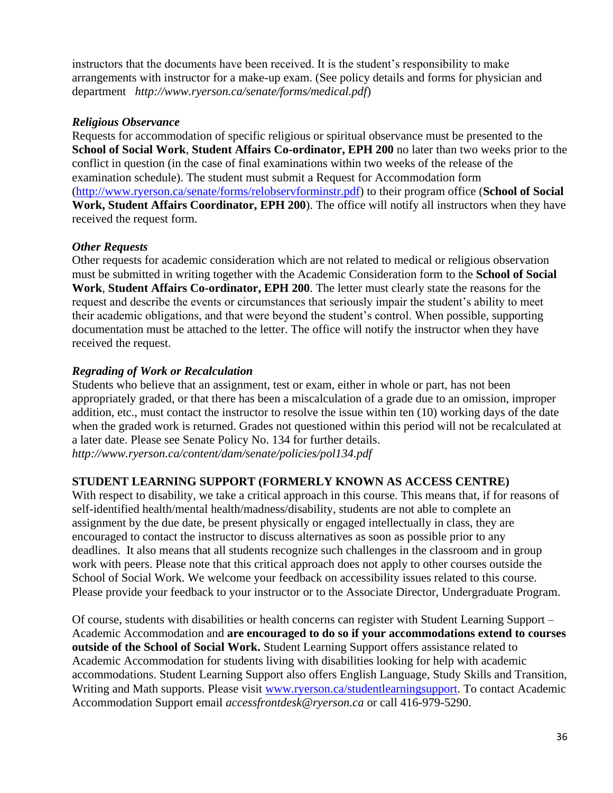instructors that the documents have been received. It is the student's responsibility to make arrangements with instructor for a make-up exam. (See policy details and forms for physician and department *<http://www.ryerson.ca/senate/forms/medical.pdf>*)

# *Religious Observance*

Requests for accommodation of specific religious or spiritual observance must be presented to the **School of Social Work**, **Student Affairs Co-ordinator, EPH 200** no later than two weeks prior to the conflict in question (in the case of final examinations within two weeks of the release of the examination schedule). The student must submit a Request for Accommodation form [\(http://www.ryerson.ca/senate/forms/relobservforminstr.pdf\)](http://www.ryerson.ca/senate/forms/relobservforminstr.pdf) to their program office (**School of Social Work, Student Affairs Coordinator, EPH 200**). The office will notify all instructors when they have received the request form.

# *Other Requests*

Other requests for academic consideration which are not related to medical or religious observation must be submitted in writing together with the Academic Consideration form to the **School of Social Work**, **Student Affairs Co-ordinator, EPH 200**. The letter must clearly state the reasons for the request and describe the events or circumstances that seriously impair the student's ability to meet their academic obligations, and that were beyond the student's control. When possible, supporting documentation must be attached to the letter. The office will notify the instructor when they have received the request.

# *Regrading of Work or Recalculation*

Students who believe that an assignment, test or exam, either in whole or part, has not been appropriately graded, or that there has been a miscalculation of a grade due to an omission, improper addition, etc., must contact the instructor to resolve the issue within ten (10) working days of the date when the graded work is returned. Grades not questioned within this period will not be recalculated at a later date. Please see Senate Policy No. 134 for further details. *<http://www.ryerson.ca/content/dam/senate/policies/pol134.pdf>*

# **STUDENT LEARNING SUPPORT (FORMERLY KNOWN AS ACCESS CENTRE)**

With respect to disability, we take a critical approach in this course. This means that, if for reasons of self-identified health/mental health/madness/disability, students are not able to complete an assignment by the due date, be present physically or engaged intellectually in class, they are encouraged to contact the instructor to discuss alternatives as soon as possible prior to any deadlines. It also means that all students recognize such challenges in the classroom and in group work with peers. Please note that this critical approach does not apply to other courses outside the School of Social Work. We welcome your feedback on accessibility issues related to this course. Please provide your feedback to your instructor or to the Associate Director, Undergraduate Program.

Of course, students with disabilities or health concerns can register with Student Learning Support – Academic Accommodation and **are encouraged to do so if your accommodations extend to courses outside of the School of Social Work.** Student Learning Support offers assistance related to Academic Accommodation for students living with disabilities looking for help with academic accommodations. Student Learning Support also offers English Language, Study Skills and Transition, Writing and Math supports. Please visit [www.ryerson.ca/studentlearningsupport.](http://www.ryerson.ca/studentlearningsupport) To contact Academic Accommodation Support email *[accessfrontdesk@ryerson.ca](mailto:accessfrontdesk@ryerson.ca)* or call 416-979-5290.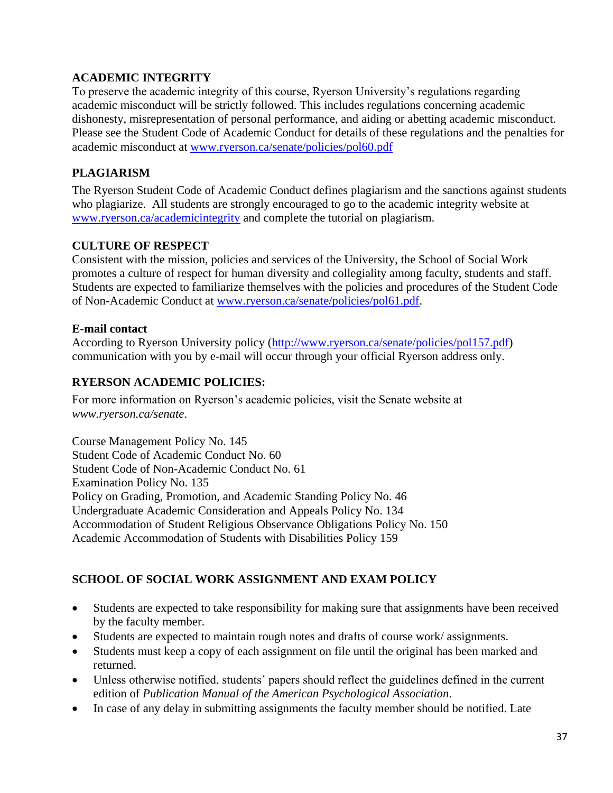# **ACADEMIC INTEGRITY**

To preserve the academic integrity of this course, Ryerson University's regulations regarding academic misconduct will be strictly followed. This includes regulations concerning academic dishonesty, misrepresentation of personal performance, and aiding or abetting academic misconduct. Please see the Student Code of Academic Conduct for details of these regulations and the penalties for academic misconduct at [www.ryerson.ca/senate/policies/pol60.pdf](http://www.ryerson.ca/senate/policies/pol60.pdf)

# **PLAGIARISM**

The Ryerson Student Code of Academic Conduct defines plagiarism and the sanctions against students who plagiarize. All students are strongly encouraged to go to the academic integrity website at [www.ryerson.ca/academicintegrity](http://www.ryerson.ca/academicintegrity) and complete the tutorial on plagiarism.

# **CULTURE OF RESPECT**

Consistent with the mission, policies and services of the University, the School of Social Work promotes a culture of respect for human diversity and collegiality among faculty, students and staff. Students are expected to familiarize themselves with the policies and procedures of the Student Code of Non-Academic Conduct at [www.ryerson.ca/senate/policies/pol61.pdf.](http://www.ryerson.ca/senate/policies/pol61.pdf)

# **E-mail contact**

According to Ryerson University policy [\(http://www.ryerson.ca/senate/policies/pol157.pdf\)](http://www.ryerson.ca/senate/policies/pol157.pdf) communication with you by e-mail will occur through your official Ryerson address only.

# **RYERSON ACADEMIC POLICIES:**

For more information on Ryerson's academic policies, visit the Senate website at *[www.ryerson.ca/senate](http://www.ryerson.ca/senate)*.

Course Management Policy No. 145 Student Code of Academic Conduct No. 60 Student Code of Non-Academic Conduct No. 61 Examination Policy No. 135 Policy on Grading, Promotion, and Academic Standing Policy No. 46 Undergraduate Academic Consideration and Appeals Policy No. 134 Accommodation of Student Religious Observance Obligations Policy No. 150 Academic Accommodation of Students with Disabilities Policy 159

# **SCHOOL OF SOCIAL WORK ASSIGNMENT AND EXAM POLICY**

- Students are expected to take responsibility for making sure that assignments have been received by the faculty member.
- Students are expected to maintain rough notes and drafts of course work/ assignments.
- Students must keep a copy of each assignment on file until the original has been marked and returned.
- Unless otherwise notified, students' papers should reflect the guidelines defined in the current edition of *Publication Manual of the American Psychological Association*.
- In case of any delay in submitting assignments the faculty member should be notified. Late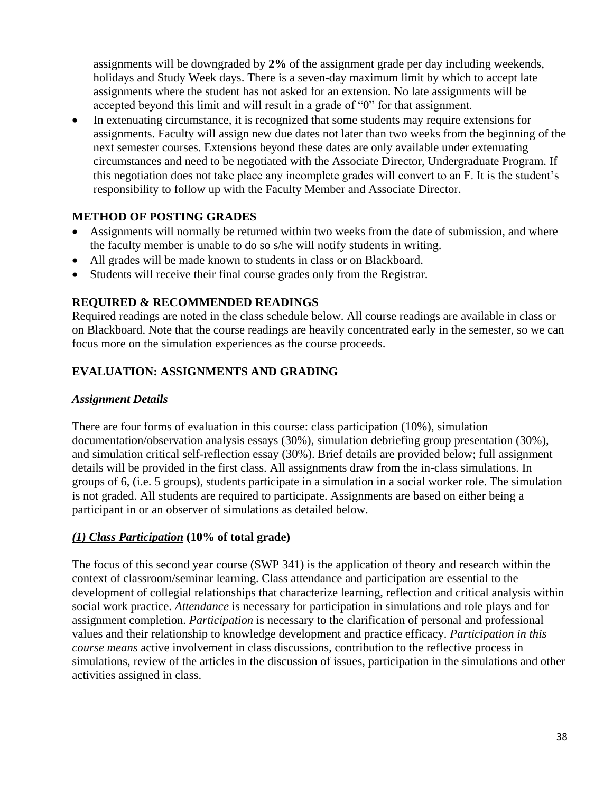assignments will be downgraded by **2%** of the assignment grade per day including weekends, holidays and Study Week days. There is a seven-day maximum limit by which to accept late assignments where the student has not asked for an extension. No late assignments will be accepted beyond this limit and will result in a grade of "0" for that assignment.

 In extenuating circumstance, it is recognized that some students may require extensions for assignments. Faculty will assign new due dates not later than two weeks from the beginning of the next semester courses. Extensions beyond these dates are only available under extenuating circumstances and need to be negotiated with the Associate Director, Undergraduate Program. If this negotiation does not take place any incomplete grades will convert to an F. It is the student's responsibility to follow up with the Faculty Member and Associate Director.

# **METHOD OF POSTING GRADES**

- Assignments will normally be returned within two weeks from the date of submission, and where the faculty member is unable to do so s/he will notify students in writing.
- All grades will be made known to students in class or on Blackboard.
- Students will receive their final course grades only from the Registrar.

### **REQUIRED & RECOMMENDED READINGS**

Required readings are noted in the class schedule below. All course readings are available in class or on Blackboard. Note that the course readings are heavily concentrated early in the semester, so we can focus more on the simulation experiences as the course proceeds.

# **EVALUATION: ASSIGNMENTS AND GRADING**

### *Assignment Details*

There are four forms of evaluation in this course: class participation (10%), simulation documentation/observation analysis essays (30%), simulation debriefing group presentation (30%), and simulation critical self-reflection essay (30%). Brief details are provided below; full assignment details will be provided in the first class. All assignments draw from the in-class simulations. In groups of 6, (i.e. 5 groups), students participate in a simulation in a social worker role. The simulation is not graded. All students are required to participate. Assignments are based on either being a participant in or an observer of simulations as detailed below.

# *(1) Class Participation* **(10% of total grade)**

The focus of this second year course (SWP 341) is the application of theory and research within the context of classroom/seminar learning. Class attendance and participation are essential to the development of collegial relationships that characterize learning, reflection and critical analysis within social work practice. *Attendance* is necessary for participation in simulations and role plays and for assignment completion. *Participation* is necessary to the clarification of personal and professional values and their relationship to knowledge development and practice efficacy. *Participation in this course means* active involvement in class discussions, contribution to the reflective process in simulations, review of the articles in the discussion of issues, participation in the simulations and other activities assigned in class.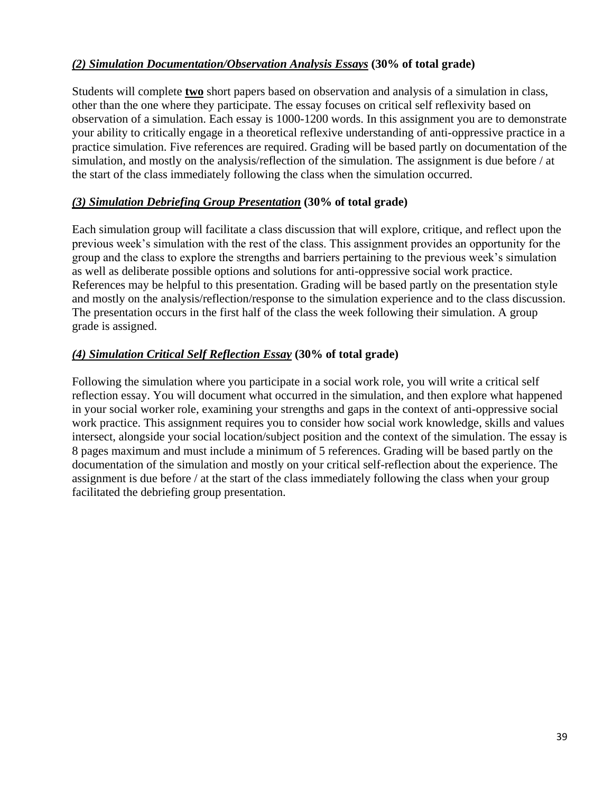# *(2) Simulation Documentation/Observation Analysis Essays* **(30% of total grade)**

Students will complete **two** short papers based on observation and analysis of a simulation in class, other than the one where they participate. The essay focuses on critical self reflexivity based on observation of a simulation. Each essay is 1000-1200 words. In this assignment you are to demonstrate your ability to critically engage in a theoretical reflexive understanding of anti-oppressive practice in a practice simulation. Five references are required. Grading will be based partly on documentation of the simulation, and mostly on the analysis/reflection of the simulation. The assignment is due before / at the start of the class immediately following the class when the simulation occurred.

# *(3) Simulation Debriefing Group Presentation* **(30% of total grade)**

Each simulation group will facilitate a class discussion that will explore, critique, and reflect upon the previous week's simulation with the rest of the class. This assignment provides an opportunity for the group and the class to explore the strengths and barriers pertaining to the previous week's simulation as well as deliberate possible options and solutions for anti-oppressive social work practice. References may be helpful to this presentation. Grading will be based partly on the presentation style and mostly on the analysis/reflection/response to the simulation experience and to the class discussion. The presentation occurs in the first half of the class the week following their simulation. A group grade is assigned.

# *(4) Simulation Critical Self Reflection Essay* **(30% of total grade)**

Following the simulation where you participate in a social work role, you will write a critical self reflection essay. You will document what occurred in the simulation, and then explore what happened in your social worker role, examining your strengths and gaps in the context of anti-oppressive social work practice. This assignment requires you to consider how social work knowledge, skills and values intersect, alongside your social location/subject position and the context of the simulation. The essay is 8 pages maximum and must include a minimum of 5 references. Grading will be based partly on the documentation of the simulation and mostly on your critical self-reflection about the experience. The assignment is due before / at the start of the class immediately following the class when your group facilitated the debriefing group presentation.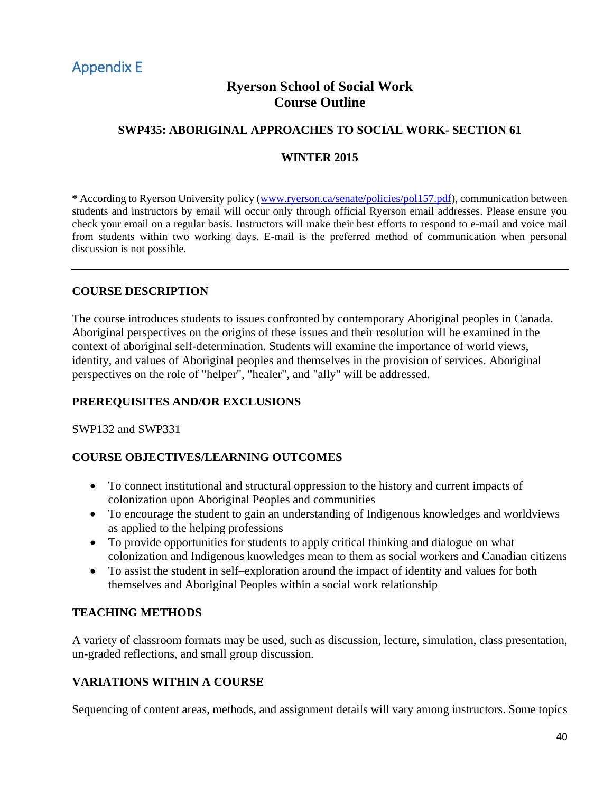# <span id="page-38-0"></span>Appendix E

# **Ryerson School of Social Work Course Outline**

# **SWP435: ABORIGINAL APPROACHES TO SOCIAL WORK- SECTION 61**

### **WINTER 2015**

**\*** According to Ryerson University policy [\(www.ryerson.ca/senate/policies/pol157.pdf\)](http://www.ryerson.ca/senate/policies/pol157.pdf), communication between students and instructors by email will occur only through official Ryerson email addresses. Please ensure you check your email on a regular basis. Instructors will make their best efforts to respond to e-mail and voice mail from students within two working days. E-mail is the preferred method of communication when personal discussion is not possible.

### **COURSE DESCRIPTION**

The course introduces students to issues confronted by contemporary Aboriginal peoples in Canada. Aboriginal perspectives on the origins of these issues and their resolution will be examined in the context of aboriginal self-determination. Students will examine the importance of world views, identity, and values of Aboriginal peoples and themselves in the provision of services. Aboriginal perspectives on the role of "helper", "healer", and "ally" will be addressed.

# **PREREQUISITES AND/OR EXCLUSIONS**

SWP132 and SWP331

# **COURSE OBJECTIVES/LEARNING OUTCOMES**

- To connect institutional and structural oppression to the history and current impacts of colonization upon Aboriginal Peoples and communities
- To encourage the student to gain an understanding of Indigenous knowledges and worldviews as applied to the helping professions
- To provide opportunities for students to apply critical thinking and dialogue on what colonization and Indigenous knowledges mean to them as social workers and Canadian citizens
- To assist the student in self–exploration around the impact of identity and values for both themselves and Aboriginal Peoples within a social work relationship

### **TEACHING METHODS**

A variety of classroom formats may be used, such as discussion, lecture, simulation, class presentation, un-graded reflections, and small group discussion.

# **VARIATIONS WITHIN A COURSE**

Sequencing of content areas, methods, and assignment details will vary among instructors. Some topics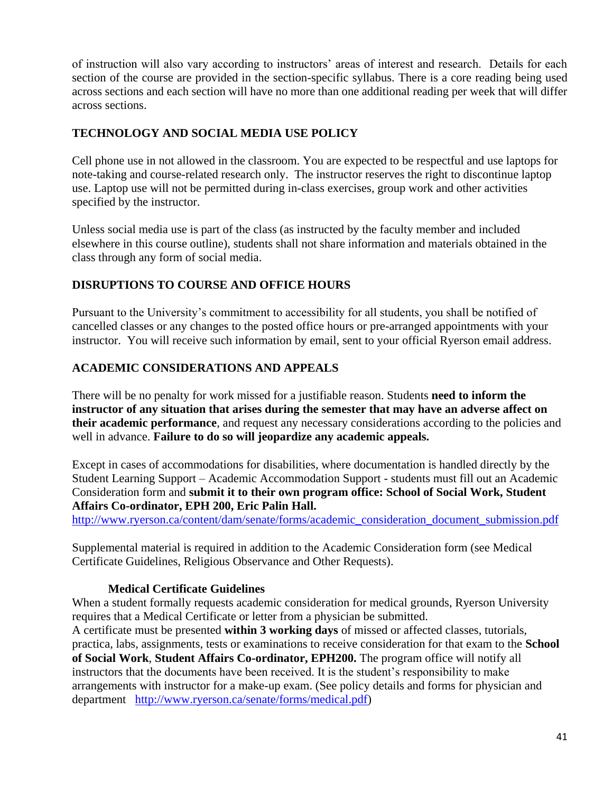of instruction will also vary according to instructors' areas of interest and research. Details for each section of the course are provided in the section-specific syllabus. There is a core reading being used across sections and each section will have no more than one additional reading per week that will differ across sections.

# **TECHNOLOGY AND SOCIAL MEDIA USE POLICY**

Cell phone use in not allowed in the classroom. You are expected to be respectful and use laptops for note-taking and course-related research only. The instructor reserves the right to discontinue laptop use. Laptop use will not be permitted during in-class exercises, group work and other activities specified by the instructor.

Unless social media use is part of the class (as instructed by the faculty member and included elsewhere in this course outline), students shall not share information and materials obtained in the class through any form of social media.

# **DISRUPTIONS TO COURSE AND OFFICE HOURS**

Pursuant to the University's commitment to accessibility for all students, you shall be notified of cancelled classes or any changes to the posted office hours or pre-arranged appointments with your instructor. You will receive such information by email, sent to your official Ryerson email address.

# **ACADEMIC CONSIDERATIONS AND APPEALS**

There will be no penalty for work missed for a justifiable reason. Students **need to inform the instructor of any situation that arises during the semester that may have an adverse affect on their academic performance**, and request any necessary considerations according to the policies and well in advance. **Failure to do so will jeopardize any academic appeals.**

Except in cases of accommodations for disabilities, where documentation is handled directly by the Student Learning Support – Academic Accommodation Support - students must fill out an Academic Consideration form and **submit it to their own program office: School of Social Work, Student Affairs Co-ordinator, EPH 200, Eric Palin Hall.**

[http://www.ryerson.ca/content/dam/senate/forms/academic\\_consideration\\_document\\_submission.pdf](http://www.ryerson.ca/content/dam/senate/forms/academic_consideration_document_submission.pdf)

Supplemental material is required in addition to the Academic Consideration form (see Medical Certificate Guidelines, Religious Observance and Other Requests).

# **Medical Certificate Guidelines**

When a student formally requests academic consideration for medical grounds, Ryerson University requires that a Medical Certificate or letter from a physician be submitted.

A certificate must be presented **within 3 working days** of missed or affected classes, tutorials, practica, labs, assignments, tests or examinations to receive consideration for that exam to the **School of Social Work**, **Student Affairs Co-ordinator, EPH200.** The program office will notify all instructors that the documents have been received. It is the student's responsibility to make arrangements with instructor for a make-up exam. (See policy details and forms for physician and department [http://www.ryerson.ca/senate/forms/medical.pdf\)](http://www.ryerson.ca/senate/forms/medical.pdf)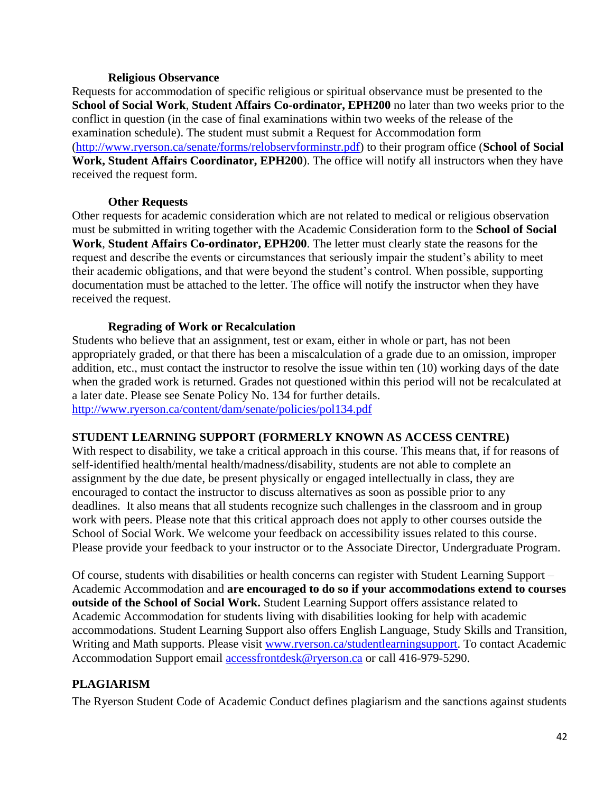### **Religious Observance**

Requests for accommodation of specific religious or spiritual observance must be presented to the **School of Social Work**, **Student Affairs Co-ordinator, EPH200** no later than two weeks prior to the conflict in question (in the case of final examinations within two weeks of the release of the examination schedule). The student must submit a Request for Accommodation form [\(http://www.ryerson.ca/senate/forms/relobservforminstr.pdf\)](http://www.ryerson.ca/senate/forms/relobservforminstr.pdf) to their program office (**School of Social Work, Student Affairs Coordinator, EPH200**). The office will notify all instructors when they have received the request form.

### **Other Requests**

Other requests for academic consideration which are not related to medical or religious observation must be submitted in writing together with the Academic Consideration form to the **School of Social Work**, **Student Affairs Co-ordinator, EPH200**. The letter must clearly state the reasons for the request and describe the events or circumstances that seriously impair the student's ability to meet their academic obligations, and that were beyond the student's control. When possible, supporting documentation must be attached to the letter. The office will notify the instructor when they have received the request.

### **Regrading of Work or Recalculation**

Students who believe that an assignment, test or exam, either in whole or part, has not been appropriately graded, or that there has been a miscalculation of a grade due to an omission, improper addition, etc., must contact the instructor to resolve the issue within ten (10) working days of the date when the graded work is returned. Grades not questioned within this period will not be recalculated at a later date. Please see Senate Policy No. 134 for further details. <http://www.ryerson.ca/content/dam/senate/policies/pol134.pdf>

### **STUDENT LEARNING SUPPORT (FORMERLY KNOWN AS ACCESS CENTRE)**

With respect to disability, we take a critical approach in this course. This means that, if for reasons of self-identified health/mental health/madness/disability, students are not able to complete an assignment by the due date, be present physically or engaged intellectually in class, they are encouraged to contact the instructor to discuss alternatives as soon as possible prior to any deadlines. It also means that all students recognize such challenges in the classroom and in group work with peers. Please note that this critical approach does not apply to other courses outside the School of Social Work. We welcome your feedback on accessibility issues related to this course. Please provide your feedback to your instructor or to the Associate Director, Undergraduate Program.

Of course, students with disabilities or health concerns can register with Student Learning Support – Academic Accommodation and **are encouraged to do so if your accommodations extend to courses outside of the School of Social Work.** Student Learning Support offers assistance related to Academic Accommodation for students living with disabilities looking for help with academic accommodations. Student Learning Support also offers English Language, Study Skills and Transition, Writing and Math supports. Please visit [www.ryerson.ca/studentlearningsupport.](http://www.ryerson.ca/studentlearningsupport) To contact Academic Accommodation Support email [accessfrontdesk@ryerson.ca](mailto:accessfrontdesk@ryerson.ca) or call 416-979-5290.

# **PLAGIARISM**

The Ryerson Student Code of Academic Conduct defines plagiarism and the sanctions against students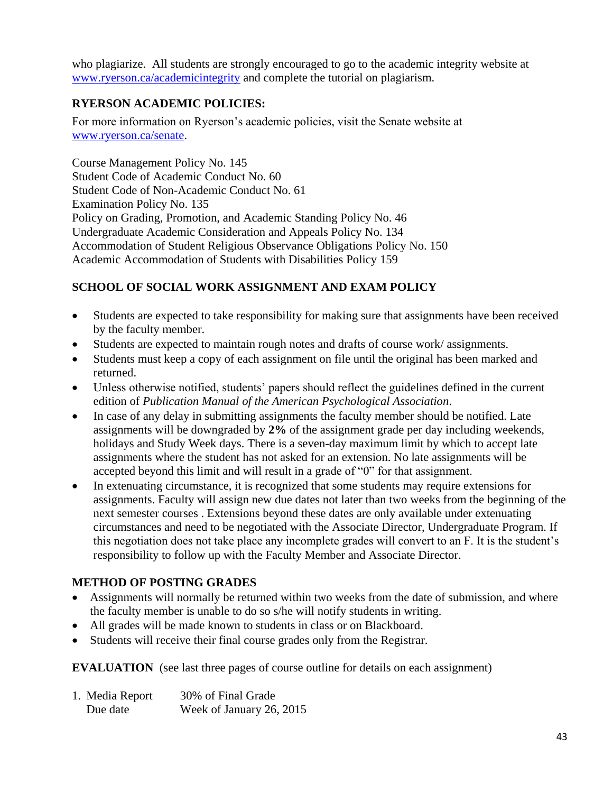who plagiarize. All students are strongly encouraged to go to the academic integrity website at [www.ryerson.ca/academicintegrity](http://www.ryerson.ca/academicintegrity) and complete the tutorial on plagiarism.

# **RYERSON ACADEMIC POLICIES:**

For more information on Ryerson's academic policies, visit the Senate website at [www.ryerson.ca/senate.](http://www.ryerson.ca/senate)

Course Management Policy No. 145 Student Code of Academic Conduct No. 60 Student Code of Non-Academic Conduct No. 61 Examination Policy No. 135 Policy on Grading, Promotion, and Academic Standing Policy No. 46 Undergraduate Academic Consideration and Appeals Policy No. 134 Accommodation of Student Religious Observance Obligations Policy No. 150 Academic Accommodation of Students with Disabilities Policy 159

# **SCHOOL OF SOCIAL WORK ASSIGNMENT AND EXAM POLICY**

- Students are expected to take responsibility for making sure that assignments have been received by the faculty member.
- Students are expected to maintain rough notes and drafts of course work/ assignments.
- Students must keep a copy of each assignment on file until the original has been marked and returned.
- Unless otherwise notified, students' papers should reflect the guidelines defined in the current edition of *Publication Manual of the American Psychological Association*.
- In case of any delay in submitting assignments the faculty member should be notified. Late assignments will be downgraded by **2%** of the assignment grade per day including weekends, holidays and Study Week days. There is a seven-day maximum limit by which to accept late assignments where the student has not asked for an extension. No late assignments will be accepted beyond this limit and will result in a grade of "0" for that assignment.
- In extenuating circumstance, it is recognized that some students may require extensions for assignments. Faculty will assign new due dates not later than two weeks from the beginning of the next semester courses . Extensions beyond these dates are only available under extenuating circumstances and need to be negotiated with the Associate Director, Undergraduate Program. If this negotiation does not take place any incomplete grades will convert to an F. It is the student's responsibility to follow up with the Faculty Member and Associate Director.

# **METHOD OF POSTING GRADES**

- Assignments will normally be returned within two weeks from the date of submission, and where the faculty member is unable to do so s/he will notify students in writing.
- All grades will be made known to students in class or on Blackboard.
- Students will receive their final course grades only from the Registrar.

**EVALUATION** (see last three pages of course outline for details on each assignment)

| 1. Media Report | 30% of Final Grade       |
|-----------------|--------------------------|
| Due date        | Week of January 26, 2015 |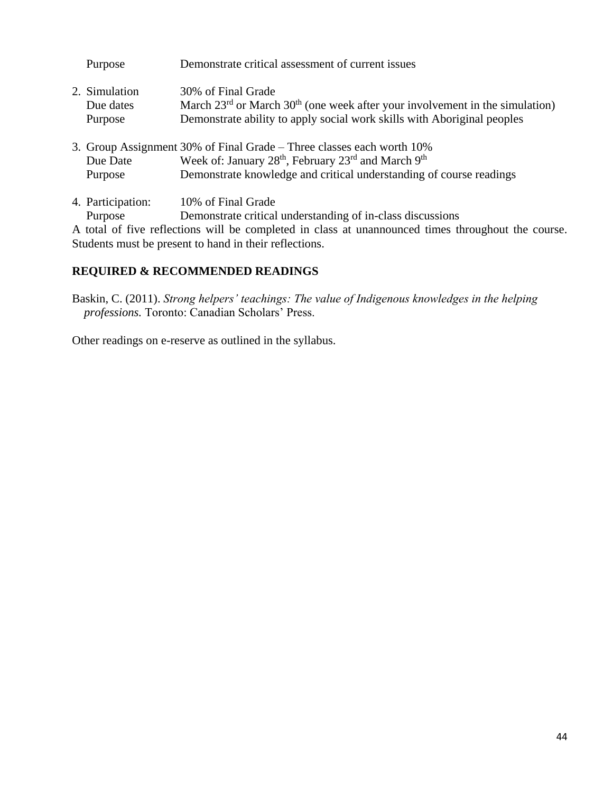| Purpose           | Demonstrate critical assessment of current issues                                                  |
|-------------------|----------------------------------------------------------------------------------------------------|
| 2. Simulation     | 30% of Final Grade                                                                                 |
| Due dates         | March $23^{rd}$ or March $30^{th}$ (one week after your involvement in the simulation)             |
| Purpose           | Demonstrate ability to apply social work skills with Aboriginal peoples                            |
|                   | 3. Group Assignment 30% of Final Grade – Three classes each worth 10%                              |
| Due Date          | Week of: January 28 <sup>th</sup> , February 23 <sup>rd</sup> and March 9 <sup>th</sup>            |
| Purpose           | Demonstrate knowledge and critical understanding of course readings                                |
| 4. Participation: | 10% of Final Grade                                                                                 |
| Purpose           | Demonstrate critical understanding of in-class discussions                                         |
|                   | A total of fire usflections will be completed in class of weappeninged times throughout the course |

A total of five reflections will be completed in class at unannounced times throughout the course. Students must be present to hand in their reflections.

# **REQUIRED & RECOMMENDED READINGS**

Baskin, C. (2011). *Strong helpers' teachings: The value of Indigenous knowledges in the helping professions.* Toronto: Canadian Scholars' Press.

Other readings on e-reserve as outlined in the syllabus.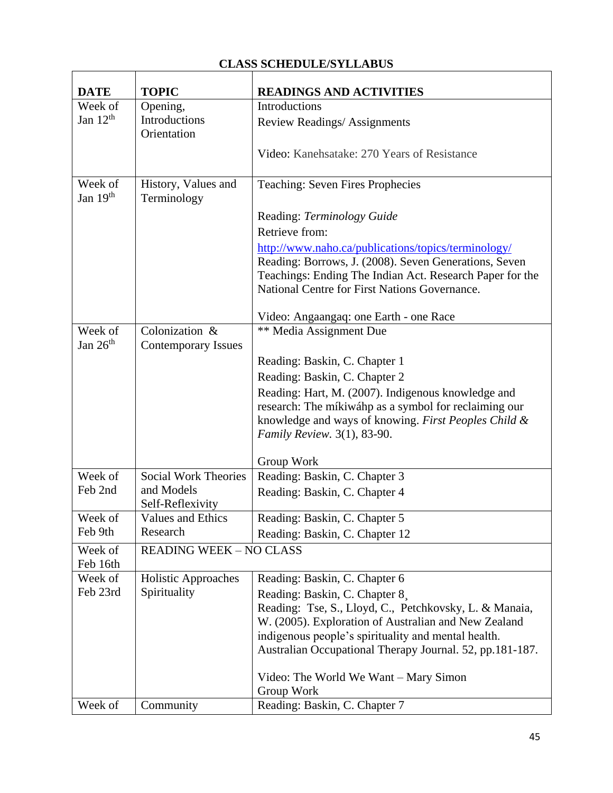# **CLASS SCHEDULE/SYLLABUS**

 $\mathbf{r}$ 

| <b>DATE</b>           | <b>TOPIC</b>                         | <b>READINGS AND ACTIVITIES</b>                                                                                    |
|-----------------------|--------------------------------------|-------------------------------------------------------------------------------------------------------------------|
| Week of               | Opening,                             | Introductions                                                                                                     |
| Jan $12th$            | Introductions<br>Orientation         | Review Readings/Assignments                                                                                       |
|                       |                                      | Video: Kanehsatake: 270 Years of Resistance                                                                       |
| Week of<br>Jan $19th$ | History, Values and<br>Terminology   | <b>Teaching: Seven Fires Prophecies</b>                                                                           |
|                       |                                      | Reading: Terminology Guide                                                                                        |
|                       |                                      | Retrieve from:                                                                                                    |
|                       |                                      | http://www.naho.ca/publications/topics/terminology/                                                               |
|                       |                                      | Reading: Borrows, J. (2008). Seven Generations, Seven<br>Teachings: Ending The Indian Act. Research Paper for the |
|                       |                                      | National Centre for First Nations Governance.                                                                     |
|                       |                                      | Video: Angaangaq: one Earth - one Race                                                                            |
| Week of               | Colonization &                       | <b>** Media Assignment Due</b>                                                                                    |
| Jan $26th$            | <b>Contemporary Issues</b>           |                                                                                                                   |
|                       |                                      | Reading: Baskin, C. Chapter 1                                                                                     |
|                       |                                      | Reading: Baskin, C. Chapter 2                                                                                     |
|                       |                                      | Reading: Hart, M. (2007). Indigenous knowledge and                                                                |
|                       |                                      | research: The míkiwáhp as a symbol for reclaiming our                                                             |
|                       |                                      | knowledge and ways of knowing. First Peoples Child &                                                              |
|                       |                                      | Family Review. 3(1), 83-90.                                                                                       |
|                       |                                      | Group Work                                                                                                        |
| Week of               | <b>Social Work Theories</b>          | Reading: Baskin, C. Chapter 3                                                                                     |
| Feb 2nd               | and Models                           | Reading: Baskin, C. Chapter 4                                                                                     |
|                       | Self-Reflexivity                     |                                                                                                                   |
| Week of<br>Feb 9th    | <b>Values and Ethics</b><br>Research | Reading: Baskin, C. Chapter 5                                                                                     |
|                       |                                      | Reading: Baskin, C. Chapter 12                                                                                    |
| Week of<br>Feb 16th   | <b>READING WEEK - NO CLASS</b>       |                                                                                                                   |
| Week of               | <b>Holistic Approaches</b>           | Reading: Baskin, C. Chapter 6                                                                                     |
| Feb 23rd              | Spirituality                         | Reading: Baskin, C. Chapter 8                                                                                     |
|                       |                                      | Reading: Tse, S., Lloyd, C., Petchkovsky, L. & Manaia,                                                            |
|                       |                                      | W. (2005). Exploration of Australian and New Zealand                                                              |
|                       |                                      | indigenous people's spirituality and mental health.                                                               |
|                       |                                      | Australian Occupational Therapy Journal. 52, pp.181-187.                                                          |
|                       |                                      | Video: The World We Want – Mary Simon                                                                             |
|                       |                                      | Group Work                                                                                                        |
| Week of               | Community                            | Reading: Baskin, C. Chapter 7                                                                                     |

٦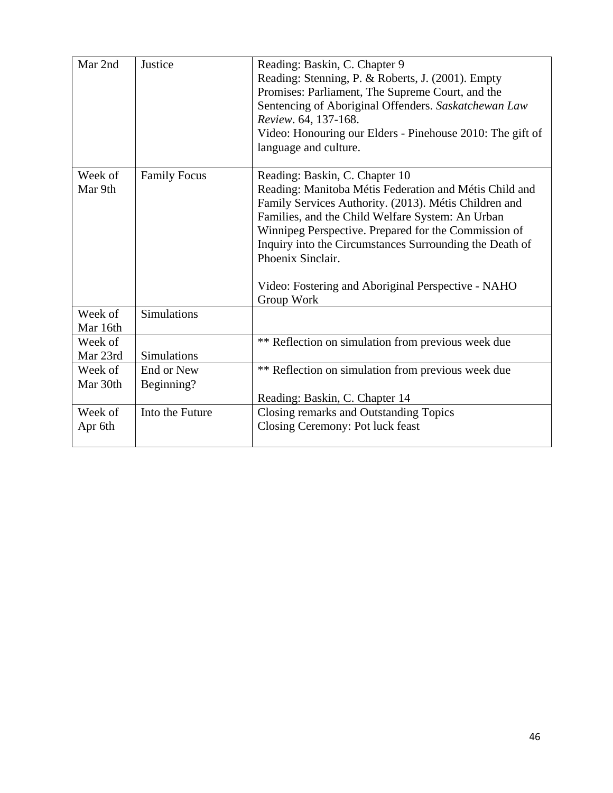| Mar 2nd             | Justice             | Reading: Baskin, C. Chapter 9<br>Reading: Stenning, P. & Roberts, J. (2001). Empty<br>Promises: Parliament, The Supreme Court, and the<br>Sentencing of Aboriginal Offenders. Saskatchewan Law<br>Review. 64, 137-168.<br>Video: Honouring our Elders - Pinehouse 2010: The gift of<br>language and culture.                                                                                                      |
|---------------------|---------------------|-------------------------------------------------------------------------------------------------------------------------------------------------------------------------------------------------------------------------------------------------------------------------------------------------------------------------------------------------------------------------------------------------------------------|
| Week of<br>Mar 9th  | <b>Family Focus</b> | Reading: Baskin, C. Chapter 10<br>Reading: Manitoba Métis Federation and Métis Child and<br>Family Services Authority. (2013). Métis Children and<br>Families, and the Child Welfare System: An Urban<br>Winnipeg Perspective. Prepared for the Commission of<br>Inquiry into the Circumstances Surrounding the Death of<br>Phoenix Sinclair.<br>Video: Fostering and Aboriginal Perspective - NAHO<br>Group Work |
| Week of<br>Mar 16th | <b>Simulations</b>  |                                                                                                                                                                                                                                                                                                                                                                                                                   |
| Week of             |                     | ** Reflection on simulation from previous week due                                                                                                                                                                                                                                                                                                                                                                |
| Mar 23rd            | <b>Simulations</b>  |                                                                                                                                                                                                                                                                                                                                                                                                                   |
| Week of             | End or New          | ** Reflection on simulation from previous week due                                                                                                                                                                                                                                                                                                                                                                |
| Mar 30th            | Beginning?          |                                                                                                                                                                                                                                                                                                                                                                                                                   |
|                     |                     | Reading: Baskin, C. Chapter 14                                                                                                                                                                                                                                                                                                                                                                                    |
| Week of<br>Apr 6th  | Into the Future     | Closing remarks and Outstanding Topics<br>Closing Ceremony: Pot luck feast                                                                                                                                                                                                                                                                                                                                        |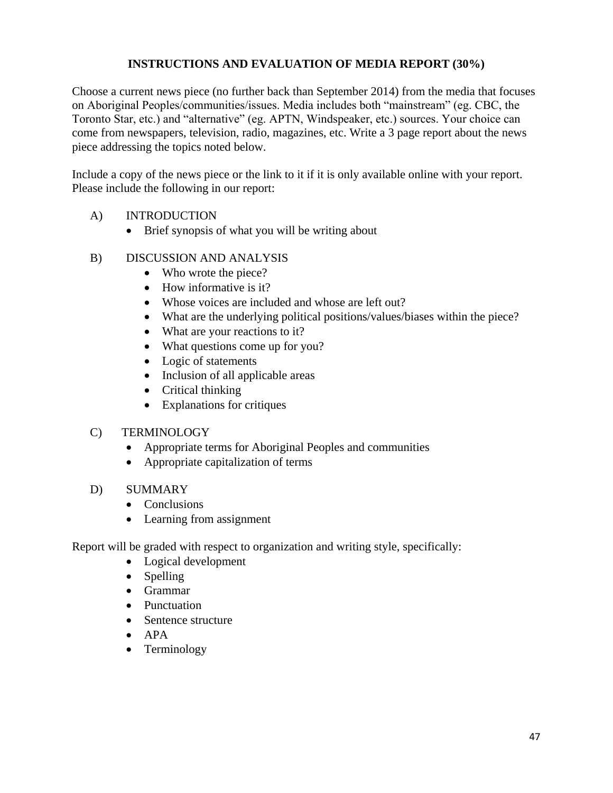# **INSTRUCTIONS AND EVALUATION OF MEDIA REPORT (30%)**

Choose a current news piece (no further back than September 2014) from the media that focuses on Aboriginal Peoples/communities/issues. Media includes both "mainstream" (eg. CBC, the Toronto Star, etc.) and "alternative" (eg. APTN, Windspeaker, etc.) sources. Your choice can come from newspapers, television, radio, magazines, etc. Write a 3 page report about the news piece addressing the topics noted below.

Include a copy of the news piece or the link to it if it is only available online with your report. Please include the following in our report:

### A) INTRODUCTION

• Brief synopsis of what you will be writing about

# B) DISCUSSION AND ANALYSIS

- Who wrote the piece?
- How informative is it?
- Whose voices are included and whose are left out?
- What are the underlying political positions/values/biases within the piece?
- What are your reactions to it?
- What questions come up for you?
- Logic of statements
- Inclusion of all applicable areas
- Critical thinking
- Explanations for critiques

### C) TERMINOLOGY

- Appropriate terms for Aboriginal Peoples and communities
- Appropriate capitalization of terms

### D) SUMMARY

- Conclusions
- Learning from assignment

Report will be graded with respect to organization and writing style, specifically:

- Logical development
- Spelling
- Grammar
- Punctuation
- Sentence structure
- $\bullet$  APA
- Terminology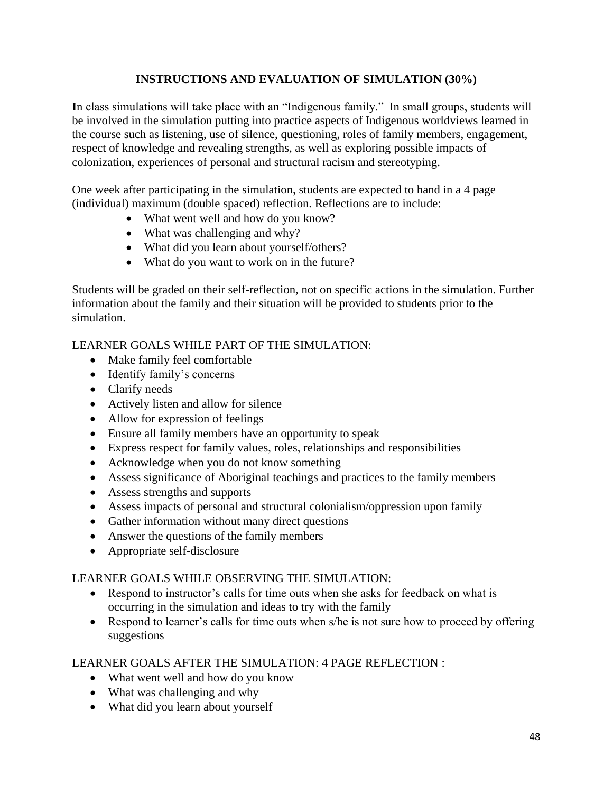# **INSTRUCTIONS AND EVALUATION OF SIMULATION (30%)**

**I**n class simulations will take place with an "Indigenous family." In small groups, students will be involved in the simulation putting into practice aspects of Indigenous worldviews learned in the course such as listening, use of silence, questioning, roles of family members, engagement, respect of knowledge and revealing strengths, as well as exploring possible impacts of colonization, experiences of personal and structural racism and stereotyping.

One week after participating in the simulation, students are expected to hand in a 4 page (individual) maximum (double spaced) reflection. Reflections are to include:

- What went well and how do you know?
- What was challenging and why?
- What did you learn about yourself/others?
- What do you want to work on in the future?

Students will be graded on their self-reflection, not on specific actions in the simulation. Further information about the family and their situation will be provided to students prior to the simulation.

# LEARNER GOALS WHILE PART OF THE SIMULATION:

- Make family feel comfortable
- Identify family's concerns
- Clarify needs
- Actively listen and allow for silence
- Allow for expression of feelings
- Ensure all family members have an opportunity to speak
- Express respect for family values, roles, relationships and responsibilities
- Acknowledge when you do not know something
- Assess significance of Aboriginal teachings and practices to the family members
- Assess strengths and supports
- Assess impacts of personal and structural colonialism/oppression upon family
- Gather information without many direct questions
- Answer the questions of the family members
- Appropriate self-disclosure

# LEARNER GOALS WHILE OBSERVING THE SIMULATION:

- Respond to instructor's calls for time outs when she asks for feedback on what is occurring in the simulation and ideas to try with the family
- Respond to learner's calls for time outs when s/he is not sure how to proceed by offering suggestions

# LEARNER GOALS AFTER THE SIMULATION: 4 PAGE REFLECTION :

- What went well and how do you know
- What was challenging and why
- What did you learn about yourself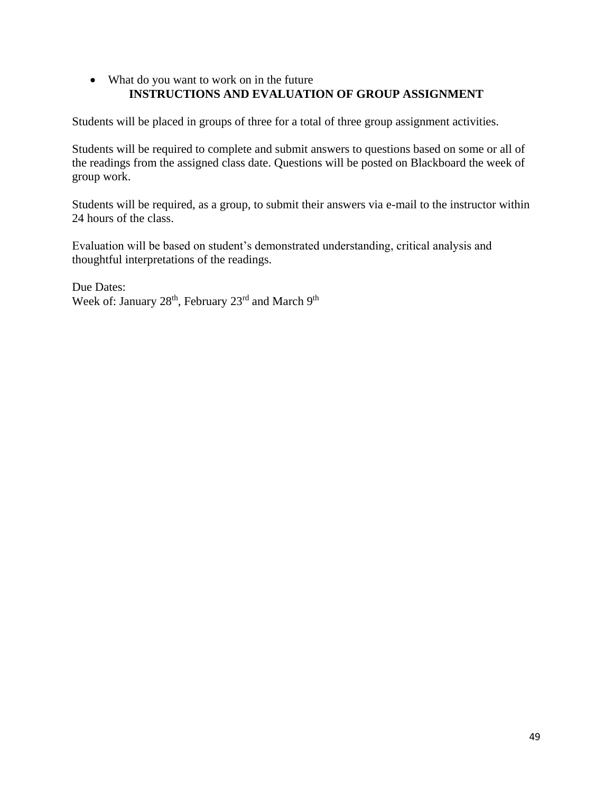# • What do you want to work on in the future **INSTRUCTIONS AND EVALUATION OF GROUP ASSIGNMENT**

Students will be placed in groups of three for a total of three group assignment activities.

Students will be required to complete and submit answers to questions based on some or all of the readings from the assigned class date. Questions will be posted on Blackboard the week of group work.

Students will be required, as a group, to submit their answers via e-mail to the instructor within 24 hours of the class.

Evaluation will be based on student's demonstrated understanding, critical analysis and thoughtful interpretations of the readings.

Due Dates: Week of: January 28<sup>th</sup>, February 23<sup>rd</sup> and March 9<sup>th</sup>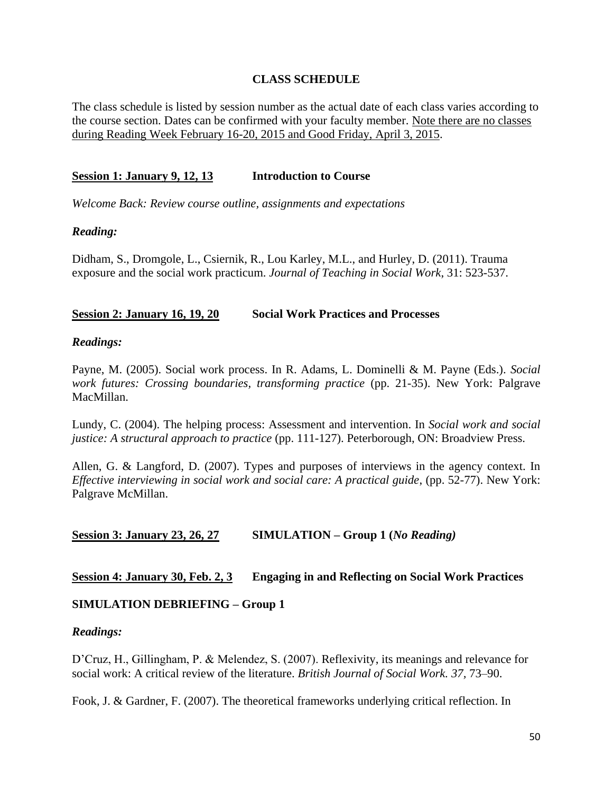### **CLASS SCHEDULE**

The class schedule is listed by session number as the actual date of each class varies according to the course section. Dates can be confirmed with your faculty member. Note there are no classes during Reading Week February 16-20, 2015 and Good Friday, April 3, 2015.

### **Session 1: January 9, 12, 13 Introduction to Course**

*Welcome Back: Review course outline, assignments and expectations*

### *Reading:*

Didham, S., Dromgole, L., Csiernik, R., Lou Karley, M.L., and Hurley, D. (2011). Trauma exposure and the social work practicum. *Journal of Teaching in Social Work*, 31: 523-537.

### **Session 2: January 16, 19, 20 Social Work Practices and Processes**

### *Readings:*

Payne, M. (2005). Social work process. In R. Adams, L. Dominelli & M. Payne (Eds.). *Social work futures: Crossing boundaries, transforming practice* (pp. 21-35). New York: Palgrave MacMillan.

Lundy, C. (2004). The helping process: Assessment and intervention. In *Social work and social justice: A structural approach to practice* (pp. 111-127). Peterborough, ON: Broadview Press.

Allen, G. & Langford, D. (2007). Types and purposes of interviews in the agency context. In *Effective interviewing in social work and social care: A practical guide*, (pp. 52-77). New York: Palgrave McMillan.

### **Session 3: January 23, 26, 27 SIMULATION – Group 1 (***No Reading)*

### **Session 4: January 30, Feb. 2, 3 Engaging in and Reflecting on Social Work Practices**

### **SIMULATION DEBRIEFING – Group 1**

### *Readings:*

D'Cruz, H., Gillingham, P. & Melendez, S. (2007). Reflexivity, its meanings and relevance for social work: A critical review of the literature. *British Journal of Social Work. 37,* 73–90.

Fook, J. & Gardner, F. (2007). The theoretical frameworks underlying critical reflection. In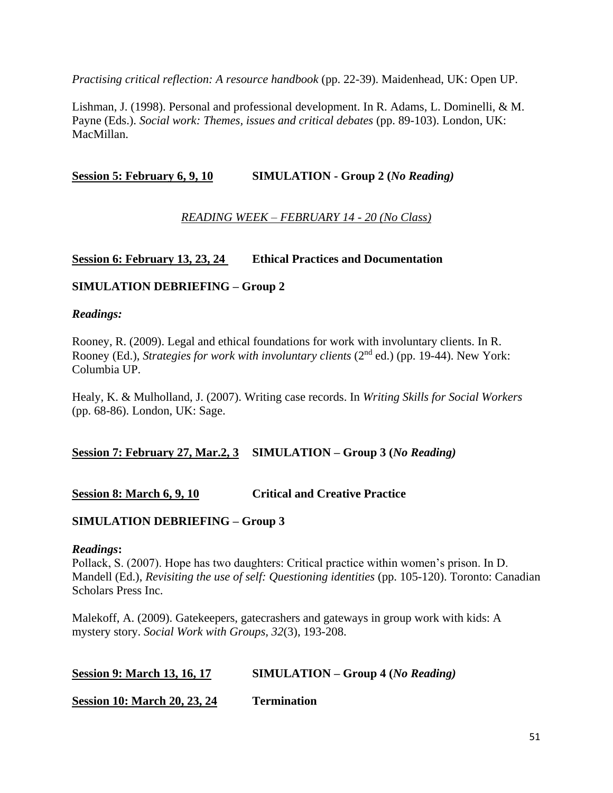*Practising critical reflection: A resource handbook* (pp. 22-39). Maidenhead, UK: Open UP.

Lishman, J. (1998). Personal and professional development. In R. Adams, L. Dominelli, & M. Payne (Eds.). *Social work: Themes, issues and critical debates* (pp. 89-103). London, UK: MacMillan.

**Session 5: February 6, 9, 10 SIMULATION - Group 2 (***No Reading)*

# *READING WEEK – FEBRUARY 14 - 20 (No Class)*

# **Session 6: February 13, 23, 24 Ethical Practices and Documentation**

### **SIMULATION DEBRIEFING – Group 2**

### *Readings:*

Rooney, R. (2009). Legal and ethical foundations for work with involuntary clients. In R. Rooney (Ed.), *Strategies for work with involuntary clients* (2<sup>nd</sup> ed.) (pp. 19-44). New York: Columbia UP.

Healy, K. & Mulholland, J. (2007). Writing case records. In *Writing Skills for Social Workers* (pp. 68-86). London, UK: Sage.

### **Session 7: February 27, Mar.2, 3 SIMULATION – Group 3 (***No Reading)*

### **Session 8: March 6, 9, 10 Critical and Creative Practice**

### **SIMULATION DEBRIEFING – Group 3**

### *Readings***:**

Pollack, S. (2007). Hope has two daughters: Critical practice within women's prison. In D. Mandell (Ed.), *Revisiting the use of self: Questioning identities* (pp. 105-120). Toronto: Canadian Scholars Press Inc.

Malekoff, A. (2009). Gatekeepers, gatecrashers and gateways in group work with kids: A mystery story. *Social Work with Groups, 32*(3), 193-208.

| <b>Session 9: March 13, 16, 17</b> | $SIMULATION - Group 4 (No Reading)$ |
|------------------------------------|-------------------------------------|
|------------------------------------|-------------------------------------|

**Session 10: March 20, 23, 24 Termination**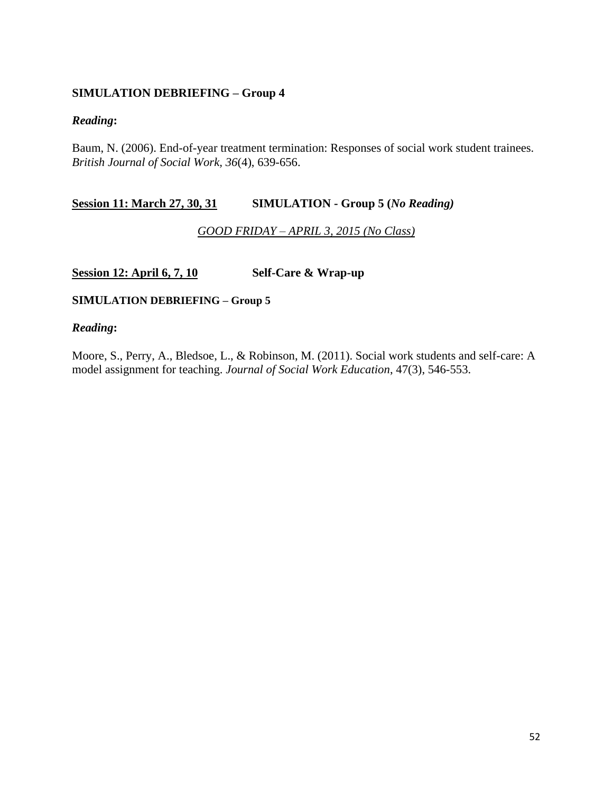# **SIMULATION DEBRIEFING – Group 4**

### *Reading***:**

Baum, N. (2006). End-of-year treatment termination: Responses of social work student trainees. *British Journal of Social Work, 36*(4), 639-656.

### **Session 11: March 27, 30, 31 SIMULATION - Group 5 (***No Reading)*

### *GOOD FRIDAY – APRIL 3, 2015 (No Class)*

### **Session 12: April 6, 7, 10 Self-Care & Wrap-up**

### **SIMULATION DEBRIEFING – Group 5**

### *Reading***:**

Moore, S., Perry, A., Bledsoe, L., & Robinson, M. (2011). Social work students and self-care: A model assignment for teaching. *Journal of Social Work Education*, 47(3), 546-553.